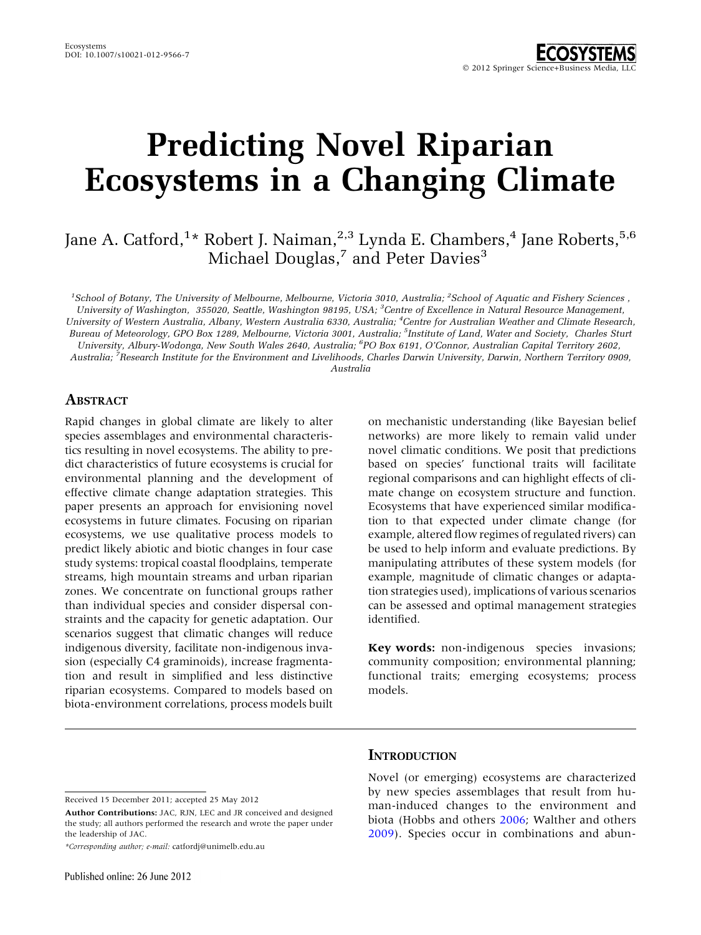# Predicting Novel Riparian Ecosystems in a Changing Climate

## Jane A. Catford, $^{1\star}$  Robert J. Naiman, $^{2,3}$  Lynda E. Chambers, $^{4}$  Jane Roberts, $^{5,6}$ Michael Douglas, $^7$  and Peter Davies $^3$

<sup>1</sup>School of Botany, The University of Melbourne, Melbourne, Victoria 3010, Australia; <sup>2</sup>School of Aquatic and Fishery Sciences, University of Washington, 355020, Seattle, Washington 98195, USA; <sup>3</sup>Centre of Excellence in Natural Resource Management, University of Western Australia, Albany, Western Australia 6330, Australia; <sup>4</sup> Centre for Australian Weather and Climate Research,

Bureau of Meteorology, GPO Box 1289, Melbourne, Victoria 3001, Australia; <sup>5</sup>Institute of Land, Water and Society, Charles Sturt

University, Albury-Wodonga, New South Wales 2640, Australia; <sup>6</sup>PO Box 6191, O'Connor, Australian Capital Territory 2602,

Australia; <sup>7</sup>Research Institute for the Environment and Livelihoods, Charles Darwin University, Darwin, Northern Territory 0909, Australia

#### ABSTRACT

Rapid changes in global climate are likely to alter species assemblages and environmental characteristics resulting in novel ecosystems. The ability to predict characteristics of future ecosystems is crucial for environmental planning and the development of effective climate change adaptation strategies. This paper presents an approach for envisioning novel ecosystems in future climates. Focusing on riparian ecosystems, we use qualitative process models to predict likely abiotic and biotic changes in four case study systems: tropical coastal floodplains, temperate streams, high mountain streams and urban riparian zones. We concentrate on functional groups rather than individual species and consider dispersal constraints and the capacity for genetic adaptation. Our scenarios suggest that climatic changes will reduce indigenous diversity, facilitate non-indigenous invasion (especially C4 graminoids), increase fragmentation and result in simplified and less distinctive riparian ecosystems. Compared to models based on biota-environment correlations, process models built

on mechanistic understanding (like Bayesian belief networks) are more likely to remain valid under novel climatic conditions. We posit that predictions based on species' functional traits will facilitate regional comparisons and can highlight effects of climate change on ecosystem structure and function. Ecosystems that have experienced similar modification to that expected under climate change (for example, altered flow regimes of regulated rivers) can be used to help inform and evaluate predictions. By manipulating attributes of these system models (for example, magnitude of climatic changes or adaptation strategies used), implications of various scenarios can be assessed and optimal management strategies identified.

Key words: non-indigenous species invasions; community composition; environmental planning; functional traits; emerging ecosystems; process models.

\*Corresponding author; e-mail: catfordj@unimelb.edu.au

#### **INTRODUCTION**

Novel (or emerging) ecosystems are characterized by new species assemblages that result from human-induced changes to the environment and biota (Hobbs and others [2006](#page-16-0); Walther and others [2009\)](#page-17-0). Species occur in combinations and abun-

Received 15 December 2011; accepted 25 May 2012

Author Contributions: JAC, RJN, LEC and JR conceived and designed the study; all authors performed the research and wrote the paper under the leadership of JAC.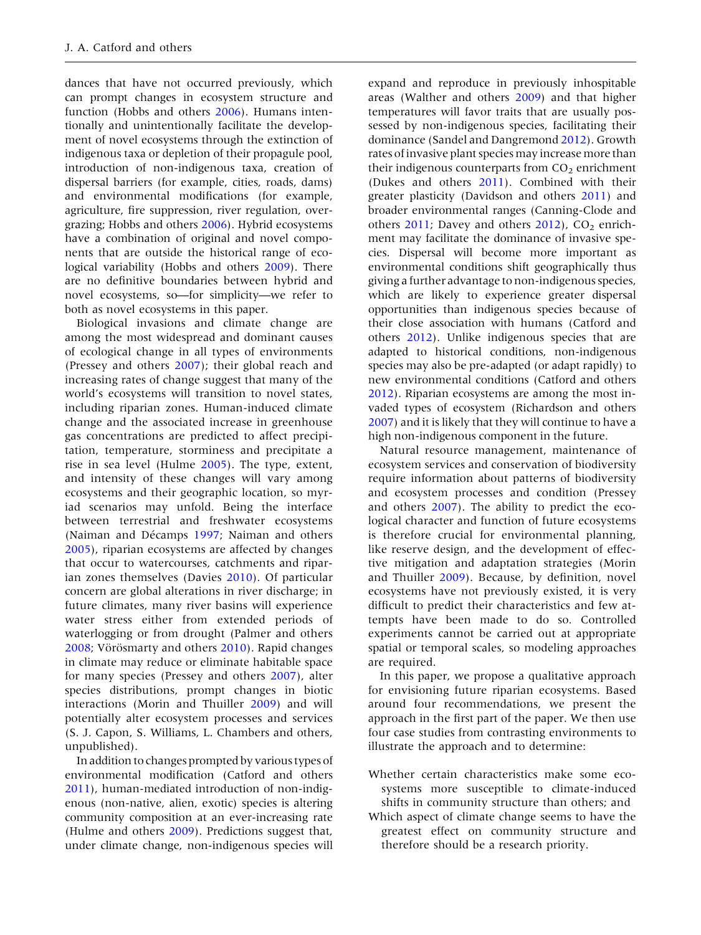dances that have not occurred previously, which can prompt changes in ecosystem structure and function (Hobbs and others [2006](#page-16-0)). Humans intentionally and unintentionally facilitate the development of novel ecosystems through the extinction of indigenous taxa or depletion of their propagule pool, introduction of non-indigenous taxa, creation of dispersal barriers (for example, cities, roads, dams) and environmental modifications (for example, agriculture, fire suppression, river regulation, overgrazing; Hobbs and others [2006](#page-16-0)). Hybrid ecosystems have a combination of original and novel components that are outside the historical range of ecological variability (Hobbs and others [2009\)](#page-16-0). There are no definitive boundaries between hybrid and novel ecosystems, so—for simplicity—we refer to both as novel ecosystems in this paper.

Biological invasions and climate change are among the most widespread and dominant causes of ecological change in all types of environments (Pressey and others [2007](#page-17-0)); their global reach and increasing rates of change suggest that many of the world's ecosystems will transition to novel states, including riparian zones. Human-induced climate change and the associated increase in greenhouse gas concentrations are predicted to affect precipitation, temperature, storminess and precipitate a rise in sea level (Hulme [2005](#page-16-0)). The type, extent, and intensity of these changes will vary among ecosystems and their geographic location, so myriad scenarios may unfold. Being the interface between terrestrial and freshwater ecosystems (Naiman and Décamps [1997](#page-17-0); Naiman and others [2005\)](#page-17-0), riparian ecosystems are affected by changes that occur to watercourses, catchments and riparian zones themselves (Davies [2010](#page-15-0)). Of particular concern are global alterations in river discharge; in future climates, many river basins will experience water stress either from extended periods of waterlogging or from drought (Palmer and others [2008;](#page-17-0) Vörösmarty and others [2010\)](#page-17-0). Rapid changes in climate may reduce or eliminate habitable space for many species (Pressey and others [2007](#page-17-0)), alter species distributions, prompt changes in biotic interactions (Morin and Thuiller [2009](#page-17-0)) and will potentially alter ecosystem processes and services (S. J. Capon, S. Williams, L. Chambers and others, unpublished).

In addition to changes prompted by various types of environmental modification (Catford and others [2011\)](#page-15-0), human-mediated introduction of non-indigenous (non-native, alien, exotic) species is altering community composition at an ever-increasing rate (Hulme and others [2009\)](#page-16-0). Predictions suggest that, under climate change, non-indigenous species will

expand and reproduce in previously inhospitable areas (Walther and others [2009](#page-17-0)) and that higher temperatures will favor traits that are usually possessed by non-indigenous species, facilitating their dominance (Sandel and Dangremond [2012\)](#page-17-0). Growth rates of invasive plant species may increase more than their indigenous counterparts from  $CO<sub>2</sub>$  enrichment (Dukes and others [2011](#page-16-0)). Combined with their greater plasticity (Davidson and others [2011](#page-15-0)) and broader environmental ranges (Canning-Clode and others  $2011$ ; Davey and others  $2012$ ),  $CO<sub>2</sub>$  enrichment may facilitate the dominance of invasive species. Dispersal will become more important as environmental conditions shift geographically thus giving a further advantage to non-indigenous species, which are likely to experience greater dispersal opportunities than indigenous species because of their close association with humans (Catford and others [2012](#page-15-0)). Unlike indigenous species that are adapted to historical conditions, non-indigenous species may also be pre-adapted (or adapt rapidly) to new environmental conditions (Catford and others [2012\)](#page-15-0). Riparian ecosystems are among the most invaded types of ecosystem (Richardson and others [2007\)](#page-17-0) and it is likely that they will continue to have a high non-indigenous component in the future.

Natural resource management, maintenance of ecosystem services and conservation of biodiversity require information about patterns of biodiversity and ecosystem processes and condition (Pressey and others [2007\)](#page-17-0). The ability to predict the ecological character and function of future ecosystems is therefore crucial for environmental planning, like reserve design, and the development of effective mitigation and adaptation strategies (Morin and Thuiller [2009](#page-17-0)). Because, by definition, novel ecosystems have not previously existed, it is very difficult to predict their characteristics and few attempts have been made to do so. Controlled experiments cannot be carried out at appropriate spatial or temporal scales, so modeling approaches are required.

In this paper, we propose a qualitative approach for envisioning future riparian ecosystems. Based around four recommendations, we present the approach in the first part of the paper. We then use four case studies from contrasting environments to illustrate the approach and to determine:

- Whether certain characteristics make some ecosystems more susceptible to climate-induced shifts in community structure than others; and Which aspect of climate change seems to have the
- greatest effect on community structure and therefore should be a research priority.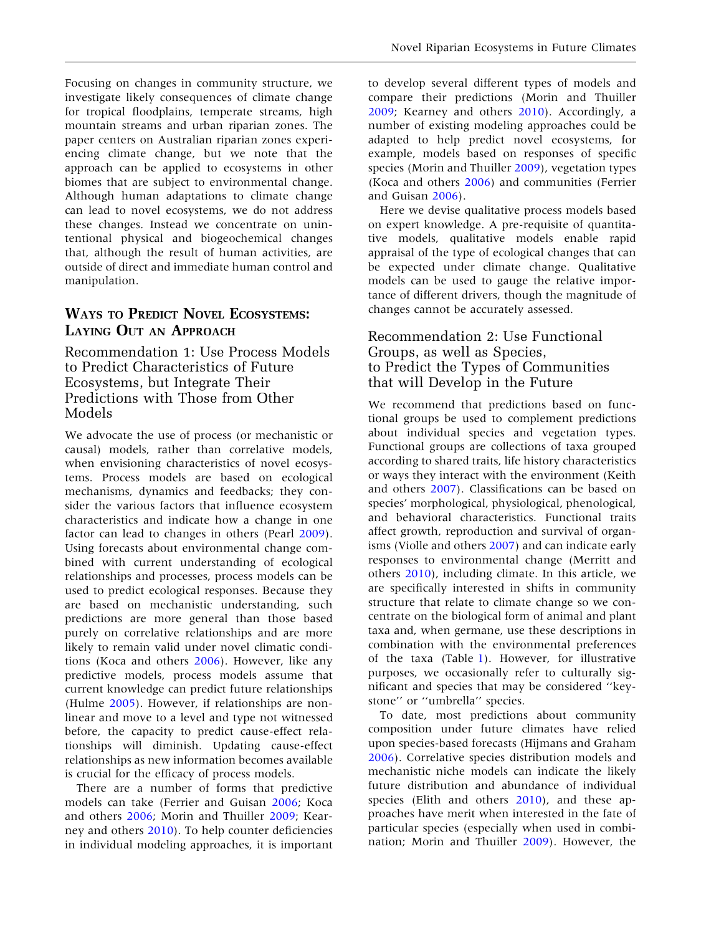Focusing on changes in community structure, we investigate likely consequences of climate change for tropical floodplains, temperate streams, high mountain streams and urban riparian zones. The paper centers on Australian riparian zones experiencing climate change, but we note that the approach can be applied to ecosystems in other biomes that are subject to environmental change. Although human adaptations to climate change can lead to novel ecosystems, we do not address these changes. Instead we concentrate on unintentional physical and biogeochemical changes that, although the result of human activities, are outside of direct and immediate human control and manipulation.

## WAYS TO PREDICT NOVEL ECOSYSTEMS: LAYING OUT AN APPROACH

Recommendation 1: Use Process Models to Predict Characteristics of Future Ecosystems, but Integrate Their Predictions with Those from Other Models

We advocate the use of process (or mechanistic or causal) models, rather than correlative models, when envisioning characteristics of novel ecosystems. Process models are based on ecological mechanisms, dynamics and feedbacks; they consider the various factors that influence ecosystem characteristics and indicate how a change in one factor can lead to changes in others (Pearl [2009](#page-17-0)). Using forecasts about environmental change combined with current understanding of ecological relationships and processes, process models can be used to predict ecological responses. Because they are based on mechanistic understanding, such predictions are more general than those based purely on correlative relationships and are more likely to remain valid under novel climatic conditions (Koca and others [2006\)](#page-16-0). However, like any predictive models, process models assume that current knowledge can predict future relationships (Hulme [2005\)](#page-16-0). However, if relationships are nonlinear and move to a level and type not witnessed before, the capacity to predict cause-effect relationships will diminish. Updating cause-effect relationships as new information becomes available is crucial for the efficacy of process models.

There are a number of forms that predictive models can take (Ferrier and Guisan [2006](#page-16-0); Koca and others [2006](#page-16-0); Morin and Thuiller [2009](#page-17-0); Kearney and others [2010](#page-16-0)). To help counter deficiencies in individual modeling approaches, it is important to develop several different types of models and compare their predictions (Morin and Thuiller [2009;](#page-17-0) Kearney and others [2010](#page-16-0)). Accordingly, a number of existing modeling approaches could be adapted to help predict novel ecosystems, for example, models based on responses of specific species (Morin and Thuiller [2009\)](#page-17-0), vegetation types (Koca and others [2006\)](#page-16-0) and communities (Ferrier and Guisan [2006](#page-16-0)).

Here we devise qualitative process models based on expert knowledge. A pre-requisite of quantitative models, qualitative models enable rapid appraisal of the type of ecological changes that can be expected under climate change. Qualitative models can be used to gauge the relative importance of different drivers, though the magnitude of changes cannot be accurately assessed.

#### Recommendation 2: Use Functional Groups, as well as Species, to Predict the Types of Communities that will Develop in the Future

We recommend that predictions based on functional groups be used to complement predictions about individual species and vegetation types. Functional groups are collections of taxa grouped according to shared traits, life history characteristics or ways they interact with the environment (Keith and others [2007\)](#page-16-0). Classifications can be based on species' morphological, physiological, phenological, and behavioral characteristics. Functional traits affect growth, reproduction and survival of organisms (Violle and others [2007](#page-17-0)) and can indicate early responses to environmental change (Merritt and others [2010](#page-16-0)), including climate. In this article, we are specifically interested in shifts in community structure that relate to climate change so we concentrate on the biological form of animal and plant taxa and, when germane, use these descriptions in combination with the environmental preferences of the taxa (Table [1](#page-3-0)). However, for illustrative purposes, we occasionally refer to culturally significant and species that may be considered ''keystone'' or ''umbrella'' species.

To date, most predictions about community composition under future climates have relied upon species-based forecasts (Hijmans and Graham [2006\)](#page-16-0). Correlative species distribution models and mechanistic niche models can indicate the likely future distribution and abundance of individual species (Elith and others [2010](#page-16-0)), and these approaches have merit when interested in the fate of particular species (especially when used in combination; Morin and Thuiller [2009](#page-17-0)). However, the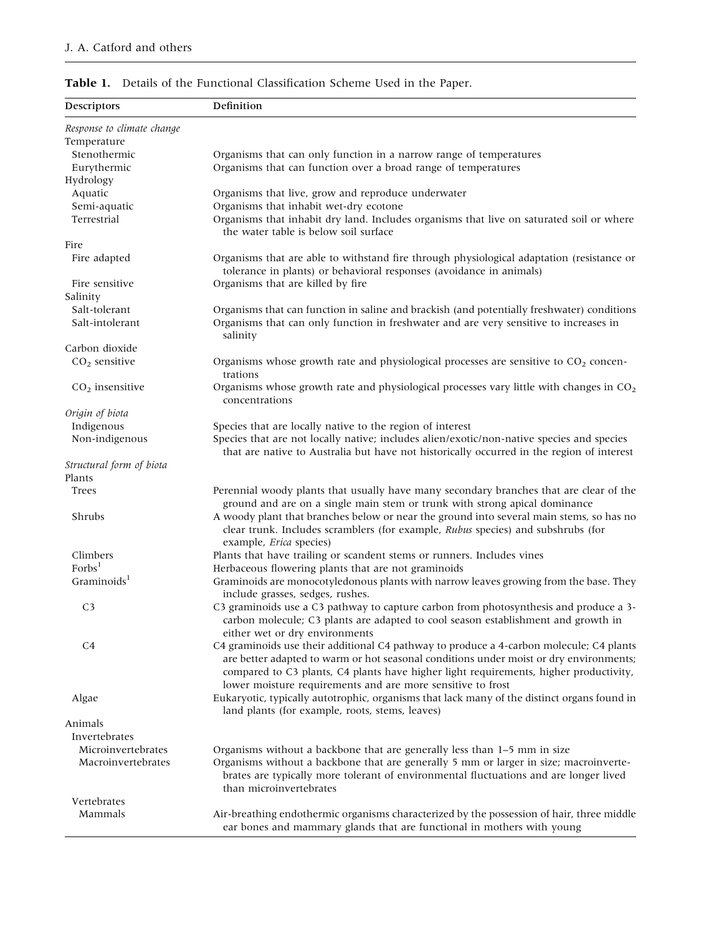| Definition<br>Descriptors          |                                                                                                                                                                                                                                                                                                                                           |  |
|------------------------------------|-------------------------------------------------------------------------------------------------------------------------------------------------------------------------------------------------------------------------------------------------------------------------------------------------------------------------------------------|--|
| Response to climate change         |                                                                                                                                                                                                                                                                                                                                           |  |
| Temperature                        |                                                                                                                                                                                                                                                                                                                                           |  |
| Stenothermic                       | Organisms that can only function in a narrow range of temperatures                                                                                                                                                                                                                                                                        |  |
| Eurythermic                        | Organisms that can function over a broad range of temperatures                                                                                                                                                                                                                                                                            |  |
| Hydrology                          |                                                                                                                                                                                                                                                                                                                                           |  |
| Aquatic                            | Organisms that live, grow and reproduce underwater                                                                                                                                                                                                                                                                                        |  |
| Semi-aquatic                       | Organisms that inhabit wet-dry ecotone                                                                                                                                                                                                                                                                                                    |  |
| Terrestrial                        | Organisms that inhabit dry land. Includes organisms that live on saturated soil or where<br>the water table is below soil surface                                                                                                                                                                                                         |  |
| Fire                               |                                                                                                                                                                                                                                                                                                                                           |  |
| Fire adapted                       | Organisms that are able to withstand fire through physiological adaptation (resistance or<br>tolerance in plants) or behavioral responses (avoidance in animals)                                                                                                                                                                          |  |
| Fire sensitive                     | Organisms that are killed by fire                                                                                                                                                                                                                                                                                                         |  |
| Salinity                           |                                                                                                                                                                                                                                                                                                                                           |  |
| Salt-tolerant                      | Organisms that can function in saline and brackish (and potentially freshwater) conditions                                                                                                                                                                                                                                                |  |
| Salt-intolerant                    | Organisms that can only function in freshwater and are very sensitive to increases in<br>salinity                                                                                                                                                                                                                                         |  |
| Carbon dioxide                     |                                                                                                                                                                                                                                                                                                                                           |  |
| $CO2$ sensitive                    | Organisms whose growth rate and physiological processes are sensitive to $CO2$ concen-<br>trations                                                                                                                                                                                                                                        |  |
| $CO2$ insensitive                  | Organisms whose growth rate and physiological processes vary little with changes in CO <sub>2</sub><br>concentrations                                                                                                                                                                                                                     |  |
| Origin of biota                    |                                                                                                                                                                                                                                                                                                                                           |  |
| Indigenous                         | Species that are locally native to the region of interest                                                                                                                                                                                                                                                                                 |  |
| Non-indigenous                     | Species that are not locally native; includes alien/exotic/non-native species and species<br>that are native to Australia but have not historically occurred in the region of interest                                                                                                                                                    |  |
| Structural form of biota<br>Plants |                                                                                                                                                                                                                                                                                                                                           |  |
| Trees                              | Perennial woody plants that usually have many secondary branches that are clear of the<br>ground and are on a single main stem or trunk with strong apical dominance                                                                                                                                                                      |  |
| Shrubs                             | A woody plant that branches below or near the ground into several main stems, so has no<br>clear trunk. Includes scramblers (for example, Rubus species) and subshrubs (for<br>example, Erica species)                                                                                                                                    |  |
| Climbers                           | Plants that have trailing or scandent stems or runners. Includes vines                                                                                                                                                                                                                                                                    |  |
| Forbs <sup>1</sup>                 | Herbaceous flowering plants that are not graminoids                                                                                                                                                                                                                                                                                       |  |
| Graminoids <sup>1</sup>            | Graminoids are monocotyledonous plants with narrow leaves growing from the base. They<br>include grasses, sedges, rushes.                                                                                                                                                                                                                 |  |
| C <sub>3</sub>                     | C3 graminoids use a C3 pathway to capture carbon from photosynthesis and produce a 3-<br>carbon molecule; C3 plants are adapted to cool season establishment and growth in<br>either wet or dry environments                                                                                                                              |  |
| C4                                 | C4 graminoids use their additional C4 pathway to produce a 4-carbon molecule; C4 plants<br>are better adapted to warm or hot seasonal conditions under moist or dry environments;<br>compared to C3 plants, C4 plants have higher light requirements, higher productivity,<br>lower moisture requirements and are more sensitive to frost |  |
| Algae                              | Eukaryotic, typically autotrophic, organisms that lack many of the distinct organs found in<br>land plants (for example, roots, stems, leaves)                                                                                                                                                                                            |  |
| Animals                            |                                                                                                                                                                                                                                                                                                                                           |  |
| Invertebrates                      |                                                                                                                                                                                                                                                                                                                                           |  |
| Microinvertebrates                 | Organisms without a backbone that are generally less than 1-5 mm in size                                                                                                                                                                                                                                                                  |  |
| Macroinvertebrates                 | Organisms without a backbone that are generally 5 mm or larger in size; macroinverte-<br>brates are typically more tolerant of environmental fluctuations and are longer lived<br>than microinvertebrates                                                                                                                                 |  |
| Vertebrates                        |                                                                                                                                                                                                                                                                                                                                           |  |
| Mammals                            | Air-breathing endothermic organisms characterized by the possession of hair, three middle<br>ear bones and mammary glands that are functional in mothers with young                                                                                                                                                                       |  |

<span id="page-3-0"></span>Table 1. Details of the Functional Classification Scheme Used in the Paper.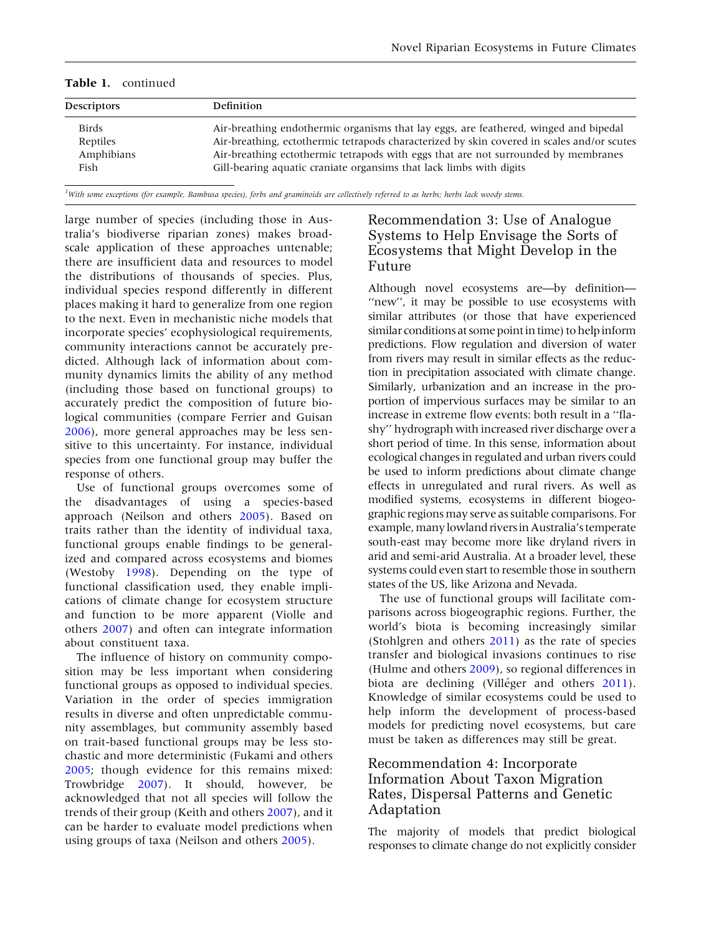| Descriptors | Definition                                                                                 |  |
|-------------|--------------------------------------------------------------------------------------------|--|
| Birds       | Air-breathing endothermic organisms that lay eggs, are feathered, winged and bipedal       |  |
| Reptiles    | Air-breathing, ectothermic tetrapods characterized by skin covered in scales and/or scutes |  |
| Amphibians  | Air-breathing ectothermic tetrapods with eggs that are not surrounded by membranes         |  |
| Fish        | Gill-bearing aquatic craniate organsims that lack limbs with digits                        |  |

Table 1. continued

<sup>1</sup> With some exceptions (for example, Bambusa species), forbs and graminoids are collectively referred to as herbs; herbs lack woody stems.

large number of species (including those in Australia's biodiverse riparian zones) makes broadscale application of these approaches untenable; there are insufficient data and resources to model the distributions of thousands of species. Plus, individual species respond differently in different places making it hard to generalize from one region to the next. Even in mechanistic niche models that incorporate species' ecophysiological requirements, community interactions cannot be accurately predicted. Although lack of information about community dynamics limits the ability of any method (including those based on functional groups) to accurately predict the composition of future biological communities (compare Ferrier and Guisan [2006\)](#page-16-0), more general approaches may be less sensitive to this uncertainty. For instance, individual species from one functional group may buffer the response of others.

Use of functional groups overcomes some of the disadvantages of using a species-based approach (Neilson and others [2005\)](#page-17-0). Based on traits rather than the identity of individual taxa, functional groups enable findings to be generalized and compared across ecosystems and biomes (Westoby [1998](#page-18-0)). Depending on the type of functional classification used, they enable implications of climate change for ecosystem structure and function to be more apparent (Violle and others [2007\)](#page-17-0) and often can integrate information about constituent taxa.

The influence of history on community composition may be less important when considering functional groups as opposed to individual species. Variation in the order of species immigration results in diverse and often unpredictable community assemblages, but community assembly based on trait-based functional groups may be less stochastic and more deterministic (Fukami and others [2005;](#page-16-0) though evidence for this remains mixed: Trowbridge [2007\)](#page-17-0). It should, however, be acknowledged that not all species will follow the trends of their group (Keith and others [2007](#page-16-0)), and it can be harder to evaluate model predictions when using groups of taxa (Neilson and others [2005\)](#page-17-0).

#### Recommendation 3: Use of Analogue Systems to Help Envisage the Sorts of Ecosystems that Might Develop in the Future

Although novel ecosystems are—by definition— "new", it may be possible to use ecosystems with similar attributes (or those that have experienced similar conditions at some point in time) to help inform predictions. Flow regulation and diversion of water from rivers may result in similar effects as the reduction in precipitation associated with climate change. Similarly, urbanization and an increase in the proportion of impervious surfaces may be similar to an increase in extreme flow events: both result in a ''flashy'' hydrograph with increased river discharge over a short period of time. In this sense, information about ecological changes in regulated and urban rivers could be used to inform predictions about climate change effects in unregulated and rural rivers. As well as modified systems, ecosystems in different biogeographic regions may serve as suitable comparisons. For example, many lowland rivers in Australia's temperate south-east may become more like dryland rivers in arid and semi-arid Australia. At a broader level, these systems could even start to resemble those in southern states of the US, like Arizona and Nevada.

The use of functional groups will facilitate comparisons across biogeographic regions. Further, the world's biota is becoming increasingly similar (Stohlgren and others [2011\)](#page-17-0) as the rate of species transfer and biological invasions continues to rise (Hulme and others [2009\)](#page-16-0), so regional differences in biota are declining (Villéger and others [2011](#page-17-0)). Knowledge of similar ecosystems could be used to help inform the development of process-based models for predicting novel ecosystems, but care must be taken as differences may still be great.

#### Recommendation 4: Incorporate Information About Taxon Migration Rates, Dispersal Patterns and Genetic Adaptation

The majority of models that predict biological responses to climate change do not explicitly consider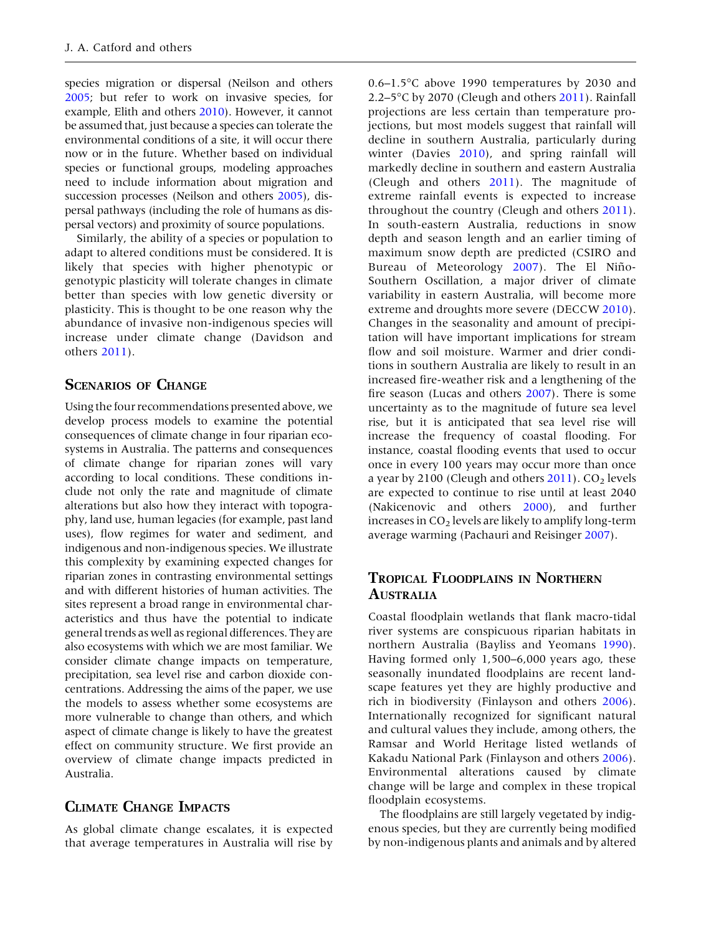species migration or dispersal (Neilson and others [2005](#page-17-0); but refer to work on invasive species, for example, Elith and others [2010](#page-16-0)). However, it cannot be assumed that, just because a species can tolerate the environmental conditions of a site, it will occur there now or in the future. Whether based on individual species or functional groups, modeling approaches need to include information about migration and succession processes (Neilson and others [2005\)](#page-17-0), dispersal pathways (including the role of humans as dispersal vectors) and proximity of source populations.

Similarly, the ability of a species or population to adapt to altered conditions must be considered. It is likely that species with higher phenotypic or genotypic plasticity will tolerate changes in climate better than species with low genetic diversity or plasticity. This is thought to be one reason why the abundance of invasive non-indigenous species will increase under climate change (Davidson and others [2011\)](#page-15-0).

#### SCENARIOS OF CHANGE

Using the four recommendations presented above, we develop process models to examine the potential consequences of climate change in four riparian ecosystems in Australia. The patterns and consequences of climate change for riparian zones will vary according to local conditions. These conditions include not only the rate and magnitude of climate alterations but also how they interact with topography, land use, human legacies (for example, past land uses), flow regimes for water and sediment, and indigenous and non-indigenous species. We illustrate this complexity by examining expected changes for riparian zones in contrasting environmental settings and with different histories of human activities. The sites represent a broad range in environmental characteristics and thus have the potential to indicate general trends as well as regional differences. They are also ecosystems with which we are most familiar. We consider climate change impacts on temperature, precipitation, sea level rise and carbon dioxide concentrations. Addressing the aims of the paper, we use the models to assess whether some ecosystems are more vulnerable to change than others, and which aspect of climate change is likely to have the greatest effect on community structure. We first provide an overview of climate change impacts predicted in Australia.

## CLIMATE CHANGE IMPACTS

As global climate change escalates, it is expected that average temperatures in Australia will rise by

0.6–1.5"C above 1990 temperatures by 2030 and 2.2–5"C by 2070 (Cleugh and others [2011\)](#page-15-0). Rainfall projections are less certain than temperature projections, but most models suggest that rainfall will decline in southern Australia, particularly during winter (Davies [2010](#page-15-0)), and spring rainfall will markedly decline in southern and eastern Australia (Cleugh and others [2011\)](#page-15-0). The magnitude of extreme rainfall events is expected to increase throughout the country (Cleugh and others [2011](#page-15-0)). In south-eastern Australia, reductions in snow depth and season length and an earlier timing of maximum snow depth are predicted (CSIRO and Bureau of Meteorology [2007\)](#page-15-0). The El Niño-Southern Oscillation, a major driver of climate variability in eastern Australia, will become more extreme and droughts more severe (DECCW [2010](#page-15-0)). Changes in the seasonality and amount of precipitation will have important implications for stream flow and soil moisture. Warmer and drier conditions in southern Australia are likely to result in an increased fire-weather risk and a lengthening of the fire season (Lucas and others [2007](#page-16-0)). There is some uncertainty as to the magnitude of future sea level rise, but it is anticipated that sea level rise will increase the frequency of coastal flooding. For instance, coastal flooding events that used to occur once in every 100 years may occur more than once a year by 2100 (Cleugh and others  $2011$ ).  $CO<sub>2</sub>$  levels are expected to continue to rise until at least 2040 (Nakicenovic and others [2000\)](#page-17-0), and further increases in  $CO<sub>2</sub>$  levels are likely to amplify long-term average warming (Pachauri and Reisinger [2007\)](#page-17-0).

## TROPICAL FLOODPLAINS IN NORTHERN AUSTRALIA

Coastal floodplain wetlands that flank macro-tidal river systems are conspicuous riparian habitats in northern Australia (Bayliss and Yeomans [1990](#page-15-0)). Having formed only 1,500–6,000 years ago, these seasonally inundated floodplains are recent landscape features yet they are highly productive and rich in biodiversity (Finlayson and others [2006](#page-16-0)). Internationally recognized for significant natural and cultural values they include, among others, the Ramsar and World Heritage listed wetlands of Kakadu National Park (Finlayson and others [2006](#page-16-0)). Environmental alterations caused by climate change will be large and complex in these tropical floodplain ecosystems.

The floodplains are still largely vegetated by indigenous species, but they are currently being modified by non-indigenous plants and animals and by altered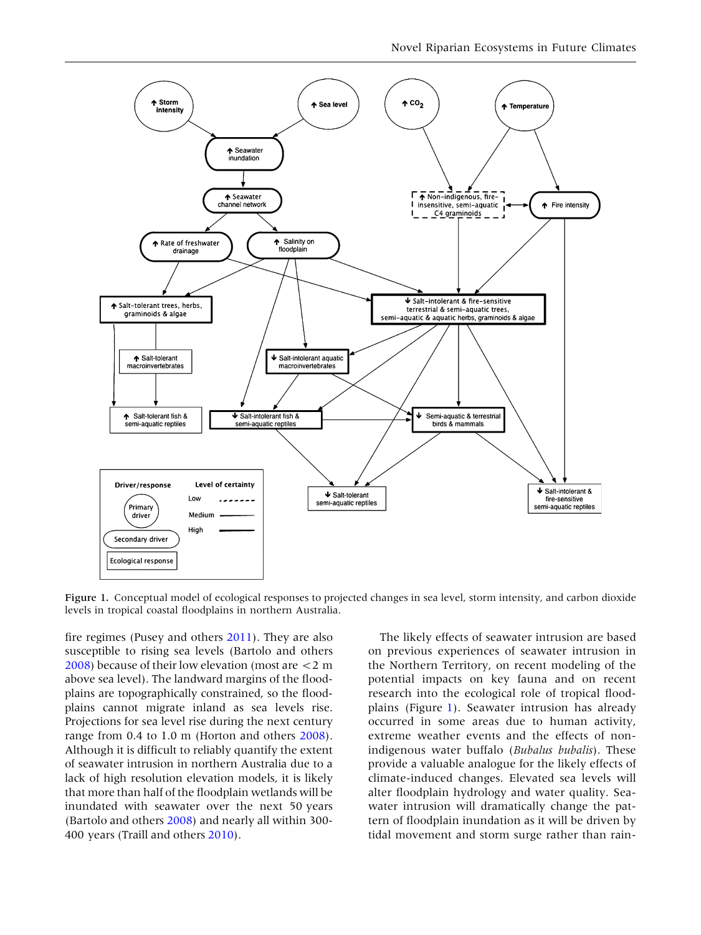<span id="page-6-0"></span>

Figure 1. Conceptual model of ecological responses to projected changes in sea level, storm intensity, and carbon dioxide levels in tropical coastal floodplains in northern Australia.

fire regimes (Pusey and others [2011\)](#page-17-0). They are also susceptible to rising sea levels (Bartolo and others [2008\)](#page-15-0) because of their low elevation (most are <2 m above sea level). The landward margins of the floodplains are topographically constrained, so the floodplains cannot migrate inland as sea levels rise. Projections for sea level rise during the next century range from 0.4 to 1.0 m (Horton and others [2008\)](#page-16-0). Although it is difficult to reliably quantify the extent of seawater intrusion in northern Australia due to a lack of high resolution elevation models, it is likely that more than half of the floodplain wetlands will be inundated with seawater over the next 50 years (Bartolo and others [2008\)](#page-15-0) and nearly all within 300- 400 years (Traill and others [2010\)](#page-17-0).

The likely effects of seawater intrusion are based on previous experiences of seawater intrusion in the Northern Territory, on recent modeling of the potential impacts on key fauna and on recent research into the ecological role of tropical floodplains (Figure 1). Seawater intrusion has already occurred in some areas due to human activity, extreme weather events and the effects of nonindigenous water buffalo (Bubalus bubalis). These provide a valuable analogue for the likely effects of climate-induced changes. Elevated sea levels will alter floodplain hydrology and water quality. Seawater intrusion will dramatically change the pattern of floodplain inundation as it will be driven by tidal movement and storm surge rather than rain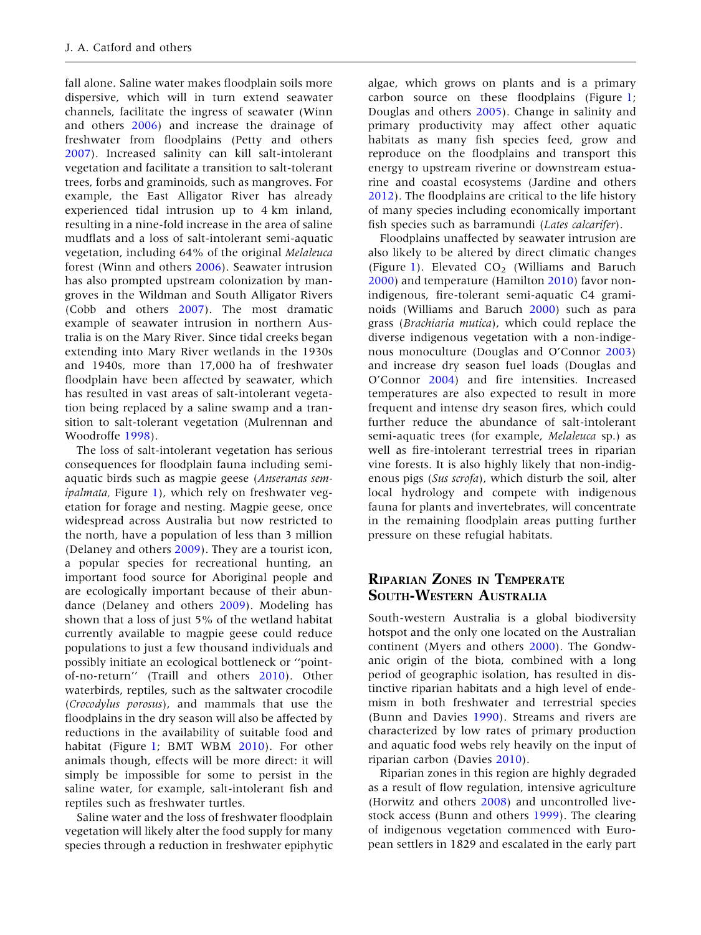fall alone. Saline water makes floodplain soils more dispersive, which will in turn extend seawater channels, facilitate the ingress of seawater (Winn and others [2006\)](#page-18-0) and increase the drainage of freshwater from floodplains (Petty and others [2007\)](#page-17-0). Increased salinity can kill salt-intolerant vegetation and facilitate a transition to salt-tolerant trees, forbs and graminoids, such as mangroves. For example, the East Alligator River has already experienced tidal intrusion up to 4 km inland, resulting in a nine-fold increase in the area of saline mudflats and a loss of salt-intolerant semi-aquatic vegetation, including 64% of the original Melaleuca forest (Winn and others [2006\)](#page-18-0). Seawater intrusion has also prompted upstream colonization by mangroves in the Wildman and South Alligator Rivers (Cobb and others [2007](#page-15-0)). The most dramatic example of seawater intrusion in northern Australia is on the Mary River. Since tidal creeks began extending into Mary River wetlands in the 1930s and 1940s, more than 17,000 ha of freshwater floodplain have been affected by seawater, which has resulted in vast areas of salt-intolerant vegetation being replaced by a saline swamp and a transition to salt-tolerant vegetation (Mulrennan and Woodroffe [1998](#page-17-0)).

The loss of salt-intolerant vegetation has serious consequences for floodplain fauna including semiaquatic birds such as magpie geese (Anseranas sem-ipalmata, Figure [1](#page-6-0)), which rely on freshwater vegetation for forage and nesting. Magpie geese, once widespread across Australia but now restricted to the north, have a population of less than 3 million (Delaney and others [2009](#page-16-0)). They are a tourist icon, a popular species for recreational hunting, an important food source for Aboriginal people and are ecologically important because of their abundance (Delaney and others [2009](#page-16-0)). Modeling has shown that a loss of just 5% of the wetland habitat currently available to magpie geese could reduce populations to just a few thousand individuals and possibly initiate an ecological bottleneck or ''pointof-no-return'' (Traill and others [2010\)](#page-17-0). Other waterbirds, reptiles, such as the saltwater crocodile (Crocodylus porosus), and mammals that use the floodplains in the dry season will also be affected by reductions in the availability of suitable food and habitat (Figure [1](#page-6-0); BMT WBM [2010](#page-15-0)). For other animals though, effects will be more direct: it will simply be impossible for some to persist in the saline water, for example, salt-intolerant fish and reptiles such as freshwater turtles.

Saline water and the loss of freshwater floodplain vegetation will likely alter the food supply for many species through a reduction in freshwater epiphytic

algae, which grows on plants and is a primary carbon source on these floodplains (Figure [1](#page-6-0); Douglas and others [2005](#page-16-0)). Change in salinity and primary productivity may affect other aquatic habitats as many fish species feed, grow and reproduce on the floodplains and transport this energy to upstream riverine or downstream estuarine and coastal ecosystems (Jardine and others [2012\)](#page-16-0). The floodplains are critical to the life history of many species including economically important fish species such as barramundi (Lates calcarifer).

Floodplains unaffected by seawater intrusion are also likely to be altered by direct climatic changes (Figure [1\)](#page-6-0). Elevated  $CO<sub>2</sub>$  (Williams and Baruch [2000\)](#page-18-0) and temperature (Hamilton [2010](#page-16-0)) favor nonindigenous, fire-tolerant semi-aquatic C4 graminoids (Williams and Baruch [2000\)](#page-18-0) such as para grass (Brachiaria mutica), which could replace the diverse indigenous vegetation with a non-indigenous monoculture (Douglas and O'Connor [2003](#page-16-0)) and increase dry season fuel loads (Douglas and O'Connor [2004](#page-16-0)) and fire intensities. Increased temperatures are also expected to result in more frequent and intense dry season fires, which could further reduce the abundance of salt-intolerant semi-aquatic trees (for example, Melaleuca sp.) as well as fire-intolerant terrestrial trees in riparian vine forests. It is also highly likely that non-indigenous pigs (Sus scrofa), which disturb the soil, alter local hydrology and compete with indigenous fauna for plants and invertebrates, will concentrate in the remaining floodplain areas putting further pressure on these refugial habitats.

## RIPARIAN ZONES IN TEMPERATE SOUTH-WESTERN AUSTRALIA

South-western Australia is a global biodiversity hotspot and the only one located on the Australian continent (Myers and others [2000](#page-17-0)). The Gondwanic origin of the biota, combined with a long period of geographic isolation, has resulted in distinctive riparian habitats and a high level of endemism in both freshwater and terrestrial species (Bunn and Davies [1990\)](#page-15-0). Streams and rivers are characterized by low rates of primary production and aquatic food webs rely heavily on the input of riparian carbon (Davies [2010](#page-15-0)).

Riparian zones in this region are highly degraded as a result of flow regulation, intensive agriculture (Horwitz and others [2008](#page-16-0)) and uncontrolled livestock access (Bunn and others [1999\)](#page-15-0). The clearing of indigenous vegetation commenced with European settlers in 1829 and escalated in the early part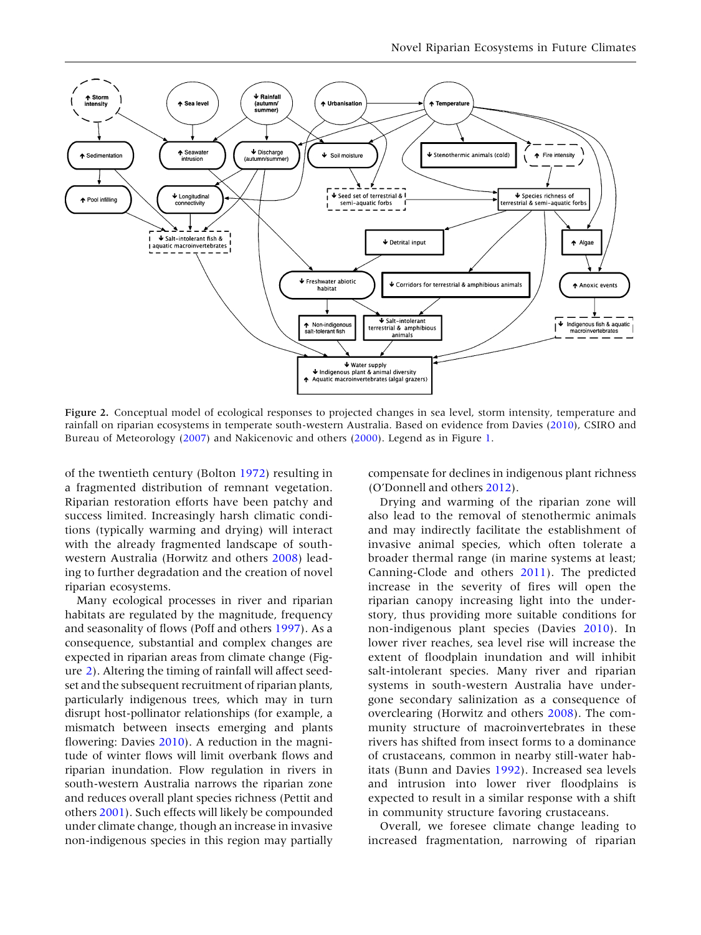<span id="page-8-0"></span>

Figure 2. Conceptual model of ecological responses to projected changes in sea level, storm intensity, temperature and rainfall on riparian ecosystems in temperate south-western Australia. Based on evidence from Davies [\(2010](#page-15-0)), CSIRO and Bureau of Meteorology [\(2007\)](#page-15-0) and Nakicenovic and others [\(2000](#page-17-0)). Legend as in Figure [1](#page-6-0).

of the twentieth century (Bolton [1972\)](#page-15-0) resulting in a fragmented distribution of remnant vegetation. Riparian restoration efforts have been patchy and success limited. Increasingly harsh climatic conditions (typically warming and drying) will interact with the already fragmented landscape of southwestern Australia (Horwitz and others [2008\)](#page-16-0) leading to further degradation and the creation of novel riparian ecosystems.

Many ecological processes in river and riparian habitats are regulated by the magnitude, frequency and seasonality of flows (Poff and others [1997\)](#page-17-0). As a consequence, substantial and complex changes are expected in riparian areas from climate change (Figure 2). Altering the timing of rainfall will affect seedset and the subsequent recruitment of riparian plants, particularly indigenous trees, which may in turn disrupt host-pollinator relationships (for example, a mismatch between insects emerging and plants flowering: Davies [2010](#page-15-0)). A reduction in the magnitude of winter flows will limit overbank flows and riparian inundation. Flow regulation in rivers in south-western Australia narrows the riparian zone and reduces overall plant species richness (Pettit and others [2001\)](#page-17-0). Such effects will likely be compounded under climate change, though an increase in invasive non-indigenous species in this region may partially compensate for declines in indigenous plant richness (O'Donnell and others [2012](#page-17-0)).

Drying and warming of the riparian zone will also lead to the removal of stenothermic animals and may indirectly facilitate the establishment of invasive animal species, which often tolerate a broader thermal range (in marine systems at least; Canning-Clode and others [2011](#page-15-0)). The predicted increase in the severity of fires will open the riparian canopy increasing light into the understory, thus providing more suitable conditions for non-indigenous plant species (Davies [2010\)](#page-15-0). In lower river reaches, sea level rise will increase the extent of floodplain inundation and will inhibit salt-intolerant species. Many river and riparian systems in south-western Australia have undergone secondary salinization as a consequence of overclearing (Horwitz and others [2008](#page-16-0)). The community structure of macroinvertebrates in these rivers has shifted from insect forms to a dominance of crustaceans, common in nearby still-water habitats (Bunn and Davies [1992](#page-15-0)). Increased sea levels and intrusion into lower river floodplains is expected to result in a similar response with a shift in community structure favoring crustaceans.

Overall, we foresee climate change leading to increased fragmentation, narrowing of riparian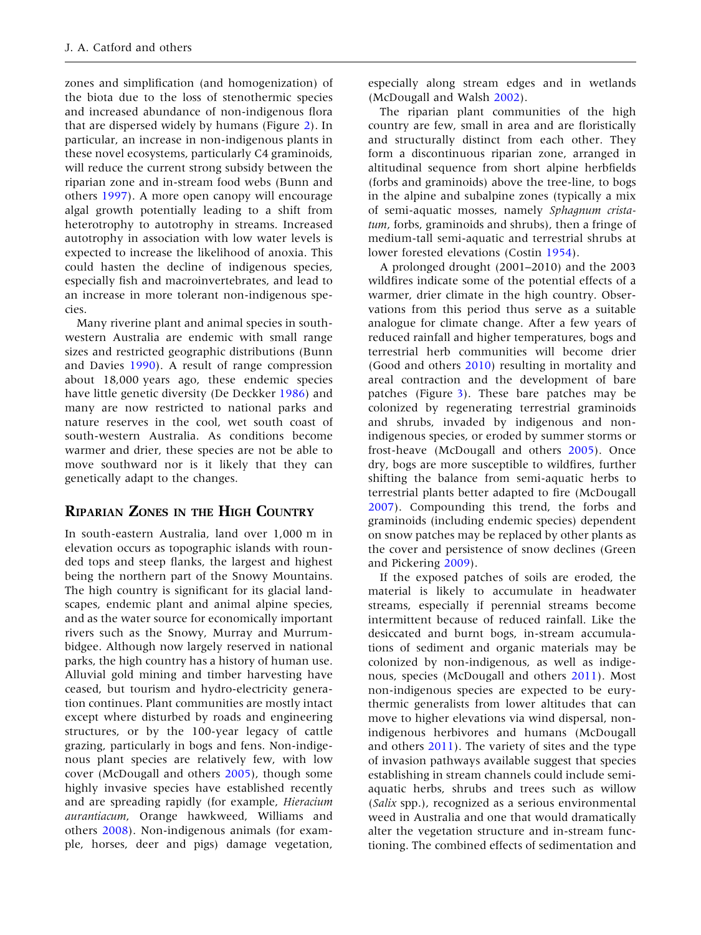zones and simplification (and homogenization) of the biota due to the loss of stenothermic species and increased abundance of non-indigenous flora that are dispersed widely by humans (Figure [2\)](#page-8-0). In particular, an increase in non-indigenous plants in these novel ecosystems, particularly C4 graminoids, will reduce the current strong subsidy between the riparian zone and in-stream food webs (Bunn and others [1997\)](#page-15-0). A more open canopy will encourage algal growth potentially leading to a shift from heterotrophy to autotrophy in streams. Increased autotrophy in association with low water levels is expected to increase the likelihood of anoxia. This could hasten the decline of indigenous species, especially fish and macroinvertebrates, and lead to an increase in more tolerant non-indigenous species.

Many riverine plant and animal species in southwestern Australia are endemic with small range sizes and restricted geographic distributions (Bunn and Davies [1990\)](#page-15-0). A result of range compression about 18,000 years ago, these endemic species have little genetic diversity (De Deckker [1986\)](#page-15-0) and many are now restricted to national parks and nature reserves in the cool, wet south coast of south-western Australia. As conditions become warmer and drier, these species are not be able to move southward nor is it likely that they can genetically adapt to the changes.

#### RIPARIAN ZONES IN THE HIGH COUNTRY

In south-eastern Australia, land over 1,000 m in elevation occurs as topographic islands with rounded tops and steep flanks, the largest and highest being the northern part of the Snowy Mountains. The high country is significant for its glacial landscapes, endemic plant and animal alpine species, and as the water source for economically important rivers such as the Snowy, Murray and Murrumbidgee. Although now largely reserved in national parks, the high country has a history of human use. Alluvial gold mining and timber harvesting have ceased, but tourism and hydro-electricity generation continues. Plant communities are mostly intact except where disturbed by roads and engineering structures, or by the 100-year legacy of cattle grazing, particularly in bogs and fens. Non-indigenous plant species are relatively few, with low cover (McDougall and others [2005\)](#page-16-0), though some highly invasive species have established recently and are spreading rapidly (for example, Hieracium aurantiacum, Orange hawkweed, Williams and others [2008\)](#page-18-0). Non-indigenous animals (for example, horses, deer and pigs) damage vegetation, especially along stream edges and in wetlands (McDougall and Walsh [2002\)](#page-16-0).

The riparian plant communities of the high country are few, small in area and are floristically and structurally distinct from each other. They form a discontinuous riparian zone, arranged in altitudinal sequence from short alpine herbfields (forbs and graminoids) above the tree-line, to bogs in the alpine and subalpine zones (typically a mix of semi-aquatic mosses, namely Sphagnum cristatum, forbs, graminoids and shrubs), then a fringe of medium-tall semi-aquatic and terrestrial shrubs at lower forested elevations (Costin [1954\)](#page-15-0).

A prolonged drought (2001–2010) and the 2003 wildfires indicate some of the potential effects of a warmer, drier climate in the high country. Observations from this period thus serve as a suitable analogue for climate change. After a few years of reduced rainfall and higher temperatures, bogs and terrestrial herb communities will become drier (Good and others [2010](#page-16-0)) resulting in mortality and areal contraction and the development of bare patches (Figure [3\)](#page-10-0). These bare patches may be colonized by regenerating terrestrial graminoids and shrubs, invaded by indigenous and nonindigenous species, or eroded by summer storms or frost-heave (McDougall and others [2005](#page-16-0)). Once dry, bogs are more susceptible to wildfires, further shifting the balance from semi-aquatic herbs to terrestrial plants better adapted to fire (McDougall [2007\)](#page-16-0). Compounding this trend, the forbs and graminoids (including endemic species) dependent on snow patches may be replaced by other plants as the cover and persistence of snow declines (Green and Pickering [2009](#page-16-0)).

If the exposed patches of soils are eroded, the material is likely to accumulate in headwater streams, especially if perennial streams become intermittent because of reduced rainfall. Like the desiccated and burnt bogs, in-stream accumulations of sediment and organic materials may be colonized by non-indigenous, as well as indigenous, species (McDougall and others [2011](#page-16-0)). Most non-indigenous species are expected to be eurythermic generalists from lower altitudes that can move to higher elevations via wind dispersal, nonindigenous herbivores and humans (McDougall and others [2011\)](#page-16-0). The variety of sites and the type of invasion pathways available suggest that species establishing in stream channels could include semiaquatic herbs, shrubs and trees such as willow (Salix spp.), recognized as a serious environmental weed in Australia and one that would dramatically alter the vegetation structure and in-stream functioning. The combined effects of sedimentation and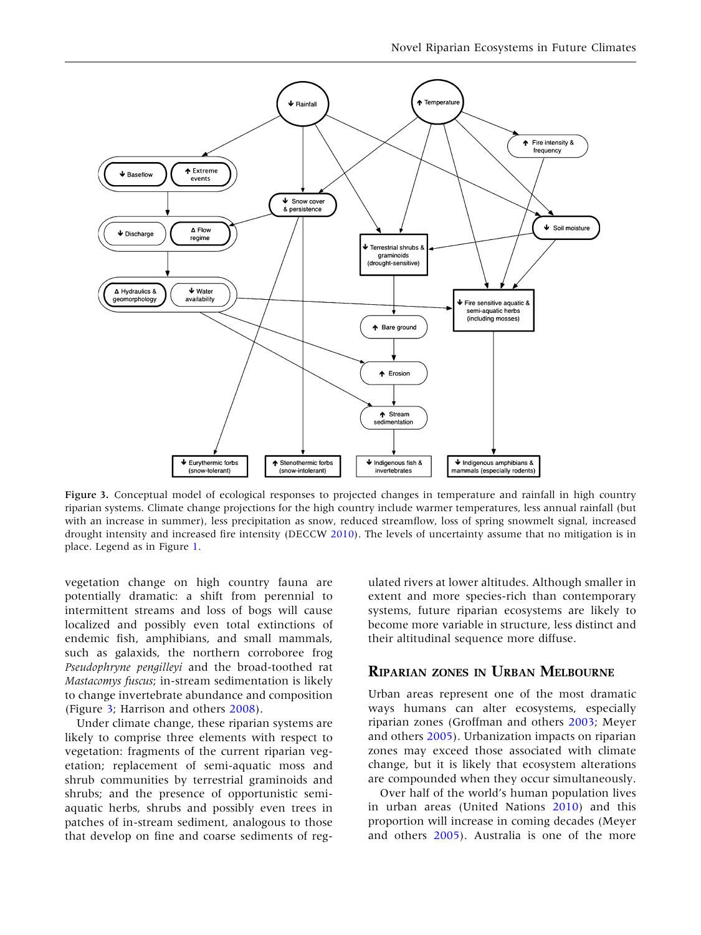<span id="page-10-0"></span>

Figure 3. Conceptual model of ecological responses to projected changes in temperature and rainfall in high country riparian systems. Climate change projections for the high country include warmer temperatures, less annual rainfall (but with an increase in summer), less precipitation as snow, reduced streamflow, loss of spring snowmelt signal, increased drought intensity and increased fire intensity (DECCW [2010](#page-15-0)). The levels of uncertainty assume that no mitigation is in place. Legend as in Figure [1.](#page-6-0)

vegetation change on high country fauna are potentially dramatic: a shift from perennial to intermittent streams and loss of bogs will cause localized and possibly even total extinctions of endemic fish, amphibians, and small mammals, such as galaxids, the northern corroboree frog Pseudophryne pengilleyi and the broad-toothed rat Mastacomys fuscus; in-stream sedimentation is likely to change invertebrate abundance and composition (Figure 3; Harrison and others [2008](#page-16-0)).

Under climate change, these riparian systems are likely to comprise three elements with respect to vegetation: fragments of the current riparian vegetation; replacement of semi-aquatic moss and shrub communities by terrestrial graminoids and shrubs; and the presence of opportunistic semiaquatic herbs, shrubs and possibly even trees in patches of in-stream sediment, analogous to those that develop on fine and coarse sediments of reg-

ulated rivers at lower altitudes. Although smaller in extent and more species-rich than contemporary systems, future riparian ecosystems are likely to become more variable in structure, less distinct and their altitudinal sequence more diffuse.

#### RIPARIAN ZONES IN URBAN MELBOURNE

Urban areas represent one of the most dramatic ways humans can alter ecosystems, especially riparian zones (Groffman and others [2003;](#page-16-0) Meyer and others [2005\)](#page-16-0). Urbanization impacts on riparian zones may exceed those associated with climate change, but it is likely that ecosystem alterations are compounded when they occur simultaneously.

Over half of the world's human population lives in urban areas (United Nations [2010](#page-17-0)) and this proportion will increase in coming decades (Meyer and others [2005](#page-16-0)). Australia is one of the more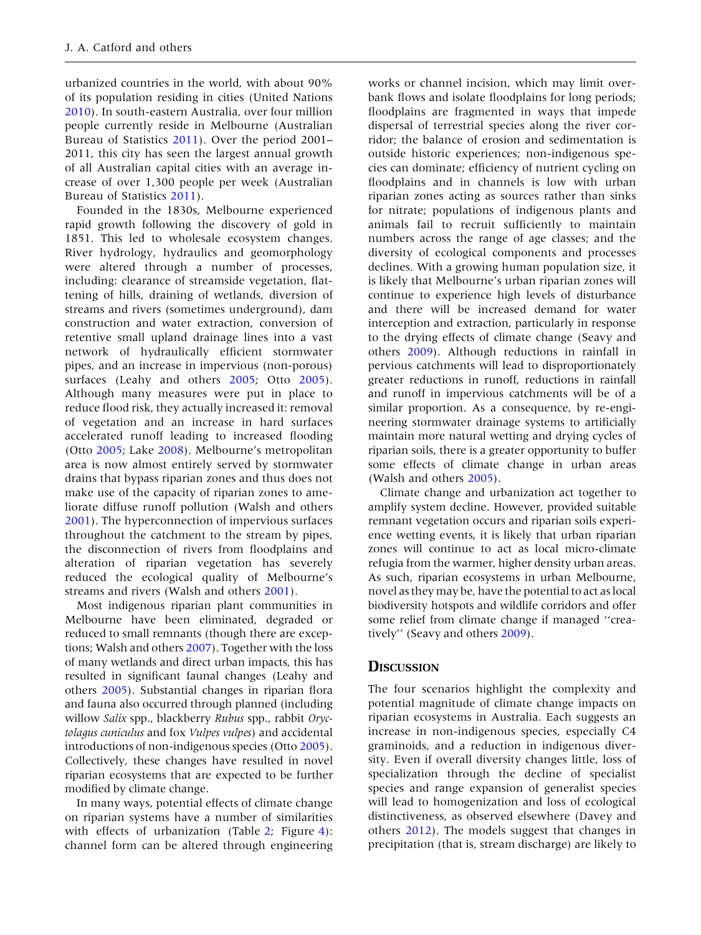urbanized countries in the world, with about 90% of its population residing in cities (United Nations [2010\)](#page-17-0). In south-eastern Australia, over four million people currently reside in Melbourne (Australian Bureau of Statistics [2011](#page-15-0)). Over the period 2001– 2011, this city has seen the largest annual growth of all Australian capital cities with an average increase of over 1,300 people per week (Australian Bureau of Statistics [2011\)](#page-15-0).

Founded in the 1830s, Melbourne experienced rapid growth following the discovery of gold in 1851. This led to wholesale ecosystem changes. River hydrology, hydraulics and geomorphology were altered through a number of processes, including: clearance of streamside vegetation, flattening of hills, draining of wetlands, diversion of streams and rivers (sometimes underground), dam construction and water extraction, conversion of retentive small upland drainage lines into a vast network of hydraulically efficient stormwater pipes, and an increase in impervious (non-porous) surfaces (Leahy and others [2005](#page-17-0); Otto 2005). Although many measures were put in place to reduce flood risk, they actually increased it: removal of vegetation and an increase in hard surfaces accelerated runoff leading to increased flooding (Otto [2005;](#page-17-0) Lake [2008\)](#page-16-0). Melbourne's metropolitan area is now almost entirely served by stormwater drains that bypass riparian zones and thus does not make use of the capacity of riparian zones to ameliorate diffuse runoff pollution (Walsh and others [2001\)](#page-17-0). The hyperconnection of impervious surfaces throughout the catchment to the stream by pipes, the disconnection of rivers from floodplains and alteration of riparian vegetation has severely reduced the ecological quality of Melbourne's streams and rivers (Walsh and others [2001\)](#page-17-0).

Most indigenous riparian plant communities in Melbourne have been eliminated, degraded or reduced to small remnants (though there are exceptions; Walsh and others [2007](#page-17-0)). Together with the loss of many wetlands and direct urban impacts, this has resulted in significant faunal changes (Leahy and others [2005\)](#page-16-0). Substantial changes in riparian flora and fauna also occurred through planned (including willow Salix spp., blackberry Rubus spp., rabbit Oryctolagus cuniculus and fox Vulpes vulpes) and accidental introductions of non-indigenous species (Otto [2005\)](#page-17-0). Collectively, these changes have resulted in novel riparian ecosystems that are expected to be further modified by climate change.

In many ways, potential effects of climate change on riparian systems have a number of similarities with effects of urbanization (Table [2](#page-12-0); Figure [4](#page-14-0)): channel form can be altered through engineering

works or channel incision, which may limit overbank flows and isolate floodplains for long periods; floodplains are fragmented in ways that impede dispersal of terrestrial species along the river corridor; the balance of erosion and sedimentation is outside historic experiences; non-indigenous species can dominate; efficiency of nutrient cycling on floodplains and in channels is low with urban riparian zones acting as sources rather than sinks for nitrate; populations of indigenous plants and animals fail to recruit sufficiently to maintain numbers across the range of age classes; and the diversity of ecological components and processes declines. With a growing human population size, it is likely that Melbourne's urban riparian zones will continue to experience high levels of disturbance and there will be increased demand for water interception and extraction, particularly in response to the drying effects of climate change (Seavy and others [2009\)](#page-17-0). Although reductions in rainfall in pervious catchments will lead to disproportionately greater reductions in runoff, reductions in rainfall and runoff in impervious catchments will be of a similar proportion. As a consequence, by re-engineering stormwater drainage systems to artificially maintain more natural wetting and drying cycles of riparian soils, there is a greater opportunity to buffer some effects of climate change in urban areas (Walsh and others [2005\)](#page-17-0).

Climate change and urbanization act together to amplify system decline. However, provided suitable remnant vegetation occurs and riparian soils experience wetting events, it is likely that urban riparian zones will continue to act as local micro-climate refugia from the warmer, higher density urban areas. As such, riparian ecosystems in urban Melbourne, novel as they may be, have the potential to act as local biodiversity hotspots and wildlife corridors and offer some relief from climate change if managed ''creatively'' (Seavy and others [2009](#page-17-0)).

#### **D**ISCUSSION

The four scenarios highlight the complexity and potential magnitude of climate change impacts on riparian ecosystems in Australia. Each suggests an increase in non-indigenous species, especially C4 graminoids, and a reduction in indigenous diversity. Even if overall diversity changes little, loss of specialization through the decline of specialist species and range expansion of generalist species will lead to homogenization and loss of ecological distinctiveness, as observed elsewhere (Davey and others [2012\)](#page-15-0). The models suggest that changes in precipitation (that is, stream discharge) are likely to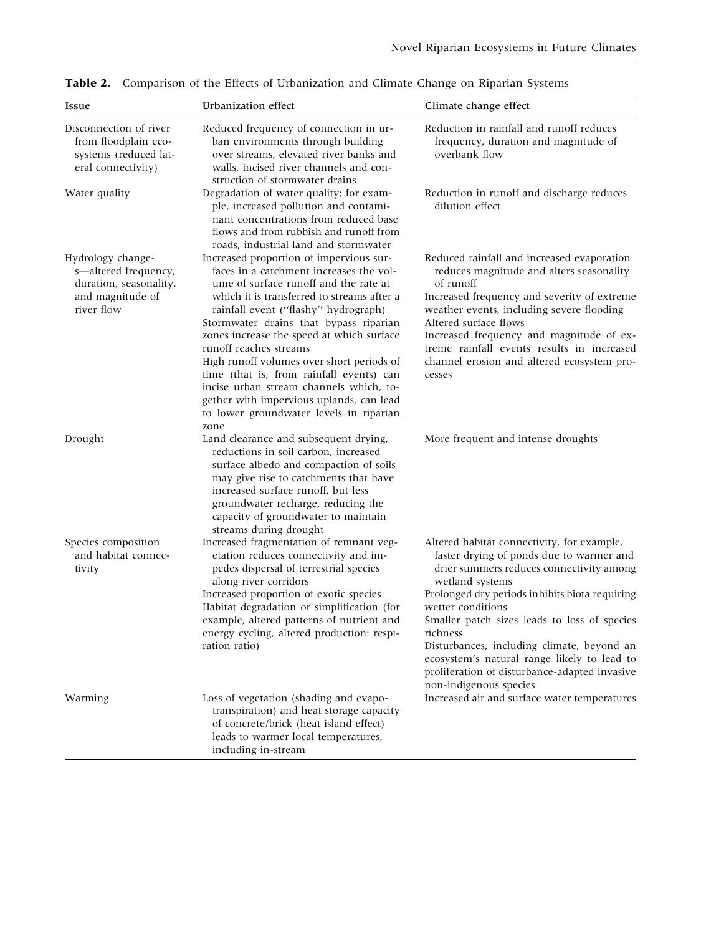| Issue                                                                                                 | Urbanization effect                                                                                                                                                                                                                                                                                                                                                                                                                                                                                                                                                   | Climate change effect                                                                                                                                                                                                                                                                                                                                                                                                                                            |
|-------------------------------------------------------------------------------------------------------|-----------------------------------------------------------------------------------------------------------------------------------------------------------------------------------------------------------------------------------------------------------------------------------------------------------------------------------------------------------------------------------------------------------------------------------------------------------------------------------------------------------------------------------------------------------------------|------------------------------------------------------------------------------------------------------------------------------------------------------------------------------------------------------------------------------------------------------------------------------------------------------------------------------------------------------------------------------------------------------------------------------------------------------------------|
| Disconnection of river<br>from floodplain eco-<br>systems (reduced lat-<br>eral connectivity)         | Reduced frequency of connection in ur-<br>ban environments through building<br>over streams, elevated river banks and<br>walls, incised river channels and con-<br>struction of stormwater drains                                                                                                                                                                                                                                                                                                                                                                     | Reduction in rainfall and runoff reduces<br>frequency, duration and magnitude of<br>overbank flow                                                                                                                                                                                                                                                                                                                                                                |
| Water quality                                                                                         | Degradation of water quality; for exam-<br>ple, increased pollution and contami-<br>nant concentrations from reduced base<br>flows and from rubbish and runoff from<br>roads, industrial land and stormwater                                                                                                                                                                                                                                                                                                                                                          | Reduction in runoff and discharge reduces<br>dilution effect                                                                                                                                                                                                                                                                                                                                                                                                     |
| Hydrology change-<br>s-altered frequency,<br>duration, seasonality,<br>and magnitude of<br>river flow | Increased proportion of impervious sur-<br>faces in a catchment increases the vol-<br>ume of surface runoff and the rate at<br>which it is transferred to streams after a<br>rainfall event ("flashy" hydrograph)<br>Stormwater drains that bypass riparian<br>zones increase the speed at which surface<br>runoff reaches streams<br>High runoff volumes over short periods of<br>time (that is, from rainfall events) can<br>incise urban stream channels which, to-<br>gether with impervious uplands, can lead<br>to lower groundwater levels in riparian<br>zone | Reduced rainfall and increased evaporation<br>reduces magnitude and alters seasonality<br>of runoff<br>Increased frequency and severity of extreme<br>weather events, including severe flooding<br>Altered surface flows<br>Increased frequency and magnitude of ex-<br>treme rainfall events results in increased<br>channel erosion and altered ecosystem pro-<br>cesses                                                                                       |
| Drought                                                                                               | Land clearance and subsequent drying,<br>reductions in soil carbon, increased<br>surface albedo and compaction of soils<br>may give rise to catchments that have<br>increased surface runoff, but less<br>groundwater recharge, reducing the<br>capacity of groundwater to maintain<br>streams during drought                                                                                                                                                                                                                                                         | More frequent and intense droughts                                                                                                                                                                                                                                                                                                                                                                                                                               |
| Species composition<br>and habitat connec-<br>tivity                                                  | Increased fragmentation of remnant veg-<br>etation reduces connectivity and im-<br>pedes dispersal of terrestrial species<br>along river corridors<br>Increased proportion of exotic species<br>Habitat degradation or simplification (for<br>example, altered patterns of nutrient and<br>energy cycling, altered production: respi-<br>ration ratio)                                                                                                                                                                                                                | Altered habitat connectivity, for example,<br>faster drying of ponds due to warmer and<br>drier summers reduces connectivity among<br>wetland systems<br>Prolonged dry periods inhibits biota requiring<br>wetter conditions<br>Smaller patch sizes leads to loss of species<br>richness<br>Disturbances, including climate, beyond an<br>ecosystem's natural range likely to lead to<br>proliferation of disturbance-adapted invasive<br>non-indigenous species |
| Warming                                                                                               | Loss of vegetation (shading and evapo-<br>transpiration) and heat storage capacity<br>of concrete/brick (heat island effect)<br>leads to warmer local temperatures,<br>including in-stream                                                                                                                                                                                                                                                                                                                                                                            | Increased air and surface water temperatures                                                                                                                                                                                                                                                                                                                                                                                                                     |

<span id="page-12-0"></span>Table 2. Comparison of the Effects of Urbanization and Climate Change on Riparian Systems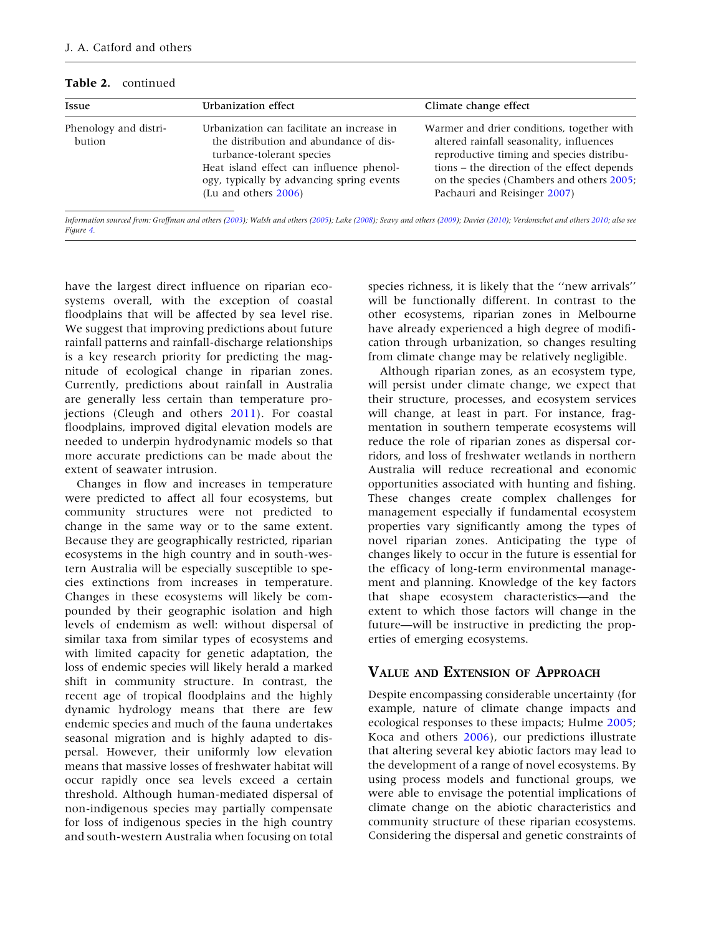| Issue                           | Urbanization effect                                                                                                                                                                                                                | Climate change effect                                                                                                                                                                                                                                           |
|---------------------------------|------------------------------------------------------------------------------------------------------------------------------------------------------------------------------------------------------------------------------------|-----------------------------------------------------------------------------------------------------------------------------------------------------------------------------------------------------------------------------------------------------------------|
| Phenology and distri-<br>bution | Urbanization can facilitate an increase in<br>the distribution and abundance of dis-<br>turbance-tolerant species<br>Heat island effect can influence phenol-<br>ogy, typically by advancing spring events<br>(Lu and others 2006) | Warmer and drier conditions, together with<br>altered rainfall seasonality, influences<br>reproductive timing and species distribu-<br>tions – the direction of the effect depends<br>on the species (Chambers and others 2005;<br>Pachauri and Reisinger 2007) |

Table 2. continued

Information sourced from: Groffman and others ([2003\)](#page-16-0); Walsh and others ([2005\)](#page-17-0); Lake ([2008\)](#page-16-0); Seavy and others ([2009\)](#page-17-0); Davies ([2010\)](#page-15-0); Verdonschot and others [2010](#page-17-0); also see Figure [4.](#page-14-0)

have the largest direct influence on riparian ecosystems overall, with the exception of coastal floodplains that will be affected by sea level rise. We suggest that improving predictions about future rainfall patterns and rainfall-discharge relationships is a key research priority for predicting the magnitude of ecological change in riparian zones. Currently, predictions about rainfall in Australia are generally less certain than temperature projections (Cleugh and others [2011](#page-15-0)). For coastal floodplains, improved digital elevation models are needed to underpin hydrodynamic models so that more accurate predictions can be made about the extent of seawater intrusion.

Changes in flow and increases in temperature were predicted to affect all four ecosystems, but community structures were not predicted to change in the same way or to the same extent. Because they are geographically restricted, riparian ecosystems in the high country and in south-western Australia will be especially susceptible to species extinctions from increases in temperature. Changes in these ecosystems will likely be compounded by their geographic isolation and high levels of endemism as well: without dispersal of similar taxa from similar types of ecosystems and with limited capacity for genetic adaptation, the loss of endemic species will likely herald a marked shift in community structure. In contrast, the recent age of tropical floodplains and the highly dynamic hydrology means that there are few endemic species and much of the fauna undertakes seasonal migration and is highly adapted to dispersal. However, their uniformly low elevation means that massive losses of freshwater habitat will occur rapidly once sea levels exceed a certain threshold. Although human-mediated dispersal of non-indigenous species may partially compensate for loss of indigenous species in the high country and south-western Australia when focusing on total species richness, it is likely that the ''new arrivals'' will be functionally different. In contrast to the other ecosystems, riparian zones in Melbourne have already experienced a high degree of modification through urbanization, so changes resulting from climate change may be relatively negligible.

Although riparian zones, as an ecosystem type, will persist under climate change, we expect that their structure, processes, and ecosystem services will change, at least in part. For instance, fragmentation in southern temperate ecosystems will reduce the role of riparian zones as dispersal corridors, and loss of freshwater wetlands in northern Australia will reduce recreational and economic opportunities associated with hunting and fishing. These changes create complex challenges for management especially if fundamental ecosystem properties vary significantly among the types of novel riparian zones. Anticipating the type of changes likely to occur in the future is essential for the efficacy of long-term environmental management and planning. Knowledge of the key factors that shape ecosystem characteristics—and the extent to which those factors will change in the future—will be instructive in predicting the properties of emerging ecosystems.

## VALUE AND EXTENSION OF APPROACH

Despite encompassing considerable uncertainty (for example, nature of climate change impacts and ecological responses to these impacts; Hulme [2005](#page-16-0); Koca and others [2006\)](#page-16-0), our predictions illustrate that altering several key abiotic factors may lead to the development of a range of novel ecosystems. By using process models and functional groups, we were able to envisage the potential implications of climate change on the abiotic characteristics and community structure of these riparian ecosystems. Considering the dispersal and genetic constraints of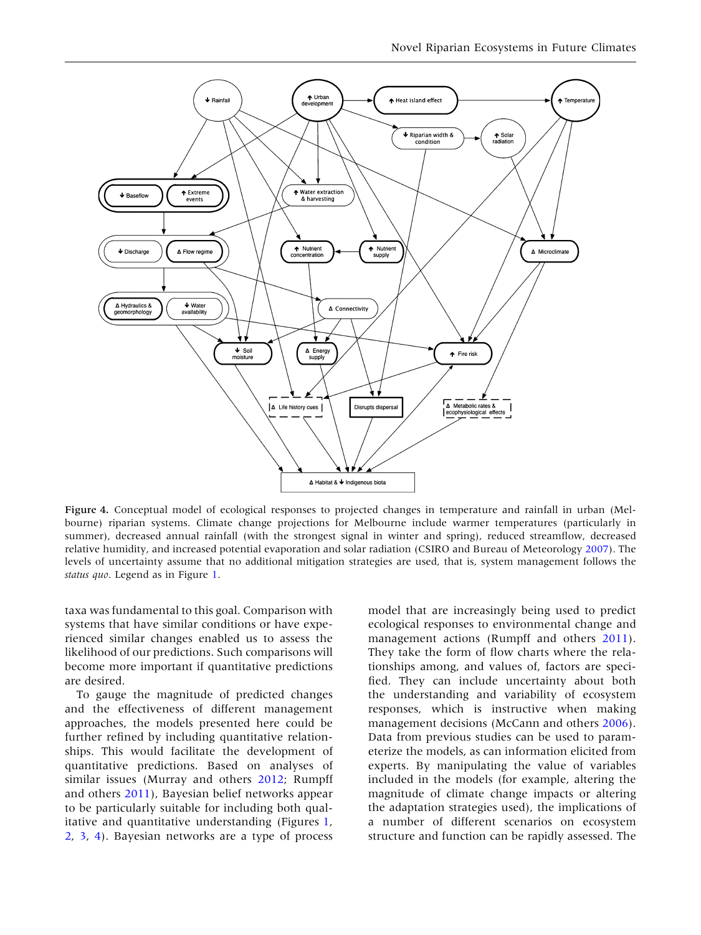<span id="page-14-0"></span>

Figure 4. Conceptual model of ecological responses to projected changes in temperature and rainfall in urban (Melbourne) riparian systems. Climate change projections for Melbourne include warmer temperatures (particularly in summer), decreased annual rainfall (with the strongest signal in winter and spring), reduced streamflow, decreased relative humidity, and increased potential evaporation and solar radiation (CSIRO and Bureau of Meteorology [2007\)](#page-15-0). The levels of uncertainty assume that no additional mitigation strategies are used, that is, system management follows the status quo. Legend as in Figure [1](#page-6-0).

taxa was fundamental to this goal. Comparison with systems that have similar conditions or have experienced similar changes enabled us to assess the likelihood of our predictions. Such comparisons will become more important if quantitative predictions are desired.

To gauge the magnitude of predicted changes and the effectiveness of different management approaches, the models presented here could be further refined by including quantitative relationships. This would facilitate the development of quantitative predictions. Based on analyses of similar issues (Murray and others [2012;](#page-17-0) Rumpff and others [2011\)](#page-17-0), Bayesian belief networks appear to be particularly suitable for including both qualitative and quantitative understanding (Figures [1](#page-6-0), [2](#page-8-0), [3](#page-10-0), 4). Bayesian networks are a type of process

model that are increasingly being used to predict ecological responses to environmental change and management actions (Rumpff and others [2011](#page-17-0)). They take the form of flow charts where the relationships among, and values of, factors are specified. They can include uncertainty about both the understanding and variability of ecosystem responses, which is instructive when making management decisions (McCann and others [2006](#page-16-0)). Data from previous studies can be used to parameterize the models, as can information elicited from experts. By manipulating the value of variables included in the models (for example, altering the magnitude of climate change impacts or altering the adaptation strategies used), the implications of a number of different scenarios on ecosystem structure and function can be rapidly assessed. The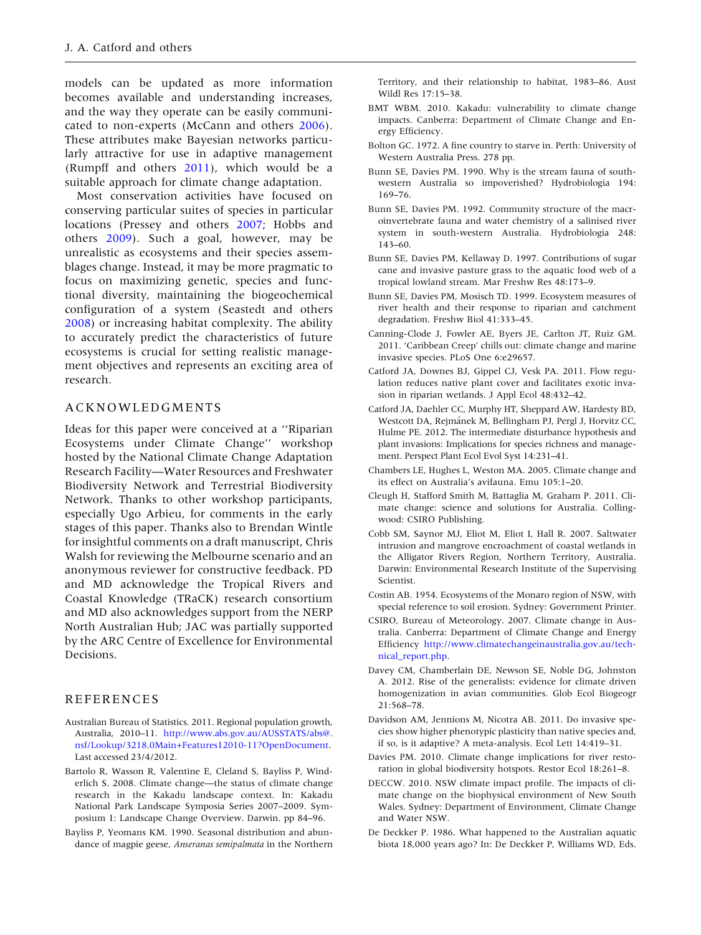<span id="page-15-0"></span>models can be updated as more information becomes available and understanding increases, and the way they operate can be easily communicated to non-experts (McCann and others [2006](#page-16-0)). These attributes make Bayesian networks particularly attractive for use in adaptive management (Rumpff and others [2011](#page-17-0)), which would be a suitable approach for climate change adaptation.

Most conservation activities have focused on conserving particular suites of species in particular locations (Pressey and others [2007;](#page-17-0) Hobbs and others [2009\)](#page-16-0). Such a goal, however, may be unrealistic as ecosystems and their species assemblages change. Instead, it may be more pragmatic to focus on maximizing genetic, species and functional diversity, maintaining the biogeochemical configuration of a system (Seastedt and others [2008\)](#page-17-0) or increasing habitat complexity. The ability to accurately predict the characteristics of future ecosystems is crucial for setting realistic management objectives and represents an exciting area of research.

#### ACKNOWLEDGMENTS

Ideas for this paper were conceived at a ''Riparian Ecosystems under Climate Change'' workshop hosted by the National Climate Change Adaptation Research Facility—Water Resources and Freshwater Biodiversity Network and Terrestrial Biodiversity Network. Thanks to other workshop participants, especially Ugo Arbieu, for comments in the early stages of this paper. Thanks also to Brendan Wintle for insightful comments on a draft manuscript, Chris Walsh for reviewing the Melbourne scenario and an anonymous reviewer for constructive feedback. PD and MD acknowledge the Tropical Rivers and Coastal Knowledge (TRaCK) research consortium and MD also acknowledges support from the NERP North Australian Hub; JAC was partially supported by the ARC Centre of Excellence for Environmental Decisions.

#### REFERENCES

- Australian Bureau of Statistics. 2011. Regional population growth, Australia, 2010–11. [http://www.abs.gov.au/AUSSTATS/abs@.](http://www.abs.gov.au/AUSSTATS/abs@.nsf/Lookup/3218.0Main+Features12010-11?OpenDocument) [nsf/Lookup/3218.0Main+Features12010-11?OpenDocument](http://www.abs.gov.au/AUSSTATS/abs@.nsf/Lookup/3218.0Main+Features12010-11?OpenDocument). Last accessed 23/4/2012.
- Bartolo R, Wasson R, Valentine E, Cleland S, Bayliss P, Winderlich S. 2008. Climate change—the status of climate change research in the Kakadu landscape context. In: Kakadu National Park Landscape Symposia Series 2007–2009. Symposium 1: Landscape Change Overview. Darwin. pp 84–96.
- Bayliss P, Yeomans KM. 1990. Seasonal distribution and abundance of magpie geese, Anseranas semipalmata in the Northern

Territory, and their relationship to habitat, 1983–86. Aust Wildl Res 17:15–38.

- BMT WBM. 2010. Kakadu: vulnerability to climate change impacts. Canberra: Department of Climate Change and Energy Efficiency.
- Bolton GC. 1972. A fine country to starve in. Perth: University of Western Australia Press. 278 pp.
- Bunn SE, Davies PM. 1990. Why is the stream fauna of southwestern Australia so impoverished? Hydrobiologia 194: 169–76.
- Bunn SE, Davies PM. 1992. Community structure of the macroinvertebrate fauna and water chemistry of a salinised river system in south-western Australia. Hydrobiologia 248: 143–60.
- Bunn SE, Davies PM, Kellaway D. 1997. Contributions of sugar cane and invasive pasture grass to the aquatic food web of a tropical lowland stream. Mar Freshw Res 48:173–9.
- Bunn SE, Davies PM, Mosisch TD. 1999. Ecosystem measures of river health and their response to riparian and catchment degradation. Freshw Biol 41:333–45.
- Canning-Clode J, Fowler AE, Byers JE, Carlton JT, Ruiz GM. 2011. 'Caribbean Creep' chills out: climate change and marine invasive species. PLoS One 6:e29657.
- Catford JA, Downes BJ, Gippel CJ, Vesk PA. 2011. Flow regulation reduces native plant cover and facilitates exotic invasion in riparian wetlands. J Appl Ecol 48:432–42.
- Catford JA, Daehler CC, Murphy HT, Sheppard AW, Hardesty BD, Westcott DA, Rejmánek M, Bellingham PJ, Pergl J, Horvitz CC, Hulme PE. 2012. The intermediate disturbance hypothesis and plant invasions: Implications for species richness and management. Perspect Plant Ecol Evol Syst 14:231–41.
- Chambers LE, Hughes L, Weston MA. 2005. Climate change and its effect on Australia's avifauna. Emu 105:1–20.
- Cleugh H, Stafford Smith M, Battaglia M, Graham P. 2011. Climate change: science and solutions for Australia. Collingwood: CSIRO Publishing.
- Cobb SM, Saynor MJ, Eliot M, Eliot I, Hall R. 2007. Saltwater intrusion and mangrove encroachment of coastal wetlands in the Alligator Rivers Region, Northern Territory, Australia. Darwin: Environmental Research Institute of the Supervising Scientist.
- Costin AB. 1954. Ecosystems of the Monaro region of NSW, with special reference to soil erosion. Sydney: Government Printer.
- CSIRO, Bureau of Meteorology. 2007. Climate change in Australia. Canberra: Department of Climate Change and Energy Efficiency [http://www.climatechangeinaustralia.gov.au/tech](http://www.climatechangeinaustralia.gov.au/technical_report.php)[nical\\_report.php.](http://www.climatechangeinaustralia.gov.au/technical_report.php)
- Davey CM, Chamberlain DE, Newson SE, Noble DG, Johnston A. 2012. Rise of the generalists: evidence for climate driven homogenization in avian communities. Glob Ecol Biogeogr 21:568–78.
- Davidson AM, Jennions M, Nicotra AB. 2011. Do invasive species show higher phenotypic plasticity than native species and, if so, is it adaptive? A meta-analysis. Ecol Lett 14:419–31.
- Davies PM. 2010. Climate change implications for river restoration in global biodiversity hotspots. Restor Ecol 18:261–8.
- DECCW. 2010. NSW climate impact profile. The impacts of climate change on the biophysical environment of New South Wales. Sydney: Department of Environment, Climate Change and Water NSW.
- De Deckker P. 1986. What happened to the Australian aquatic biota 18,000 years ago? In: De Deckker P, Williams WD, Eds.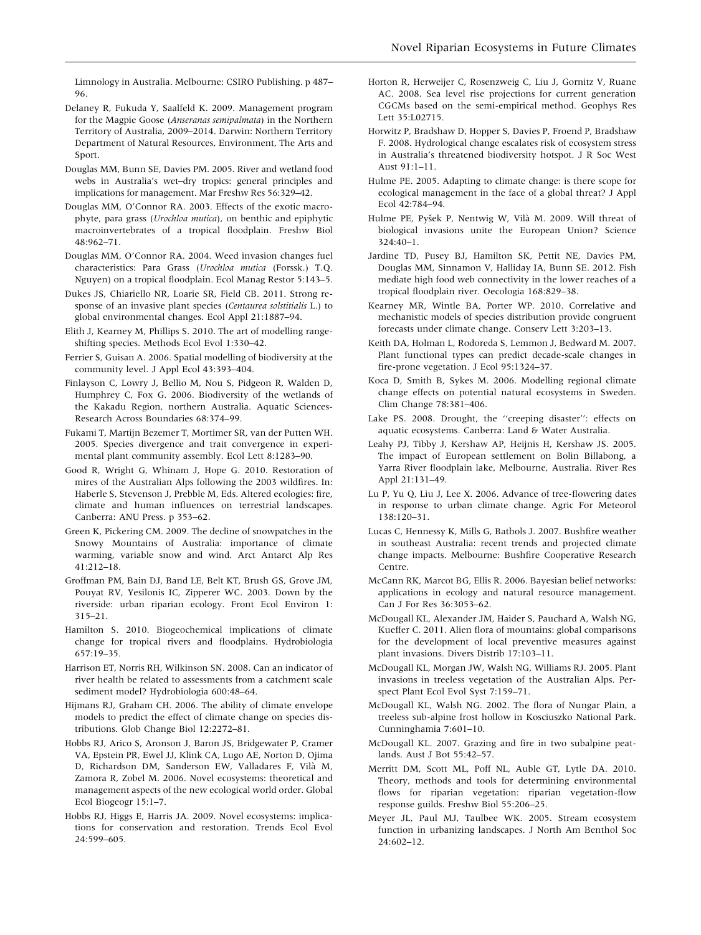<span id="page-16-0"></span>Limnology in Australia. Melbourne: CSIRO Publishing. p 487– 96.

- Delaney R, Fukuda Y, Saalfeld K. 2009. Management program for the Magpie Goose (Anseranas semipalmata) in the Northern Territory of Australia, 2009–2014. Darwin: Northern Territory Department of Natural Resources, Environment, The Arts and Sport.
- Douglas MM, Bunn SE, Davies PM. 2005. River and wetland food webs in Australia's wet–dry tropics: general principles and implications for management. Mar Freshw Res 56:329–42.
- Douglas MM, O'Connor RA. 2003. Effects of the exotic macrophyte, para grass (Urochloa mutica), on benthic and epiphytic macroinvertebrates of a tropical floodplain. Freshw Biol 48:962–71.
- Douglas MM, O'Connor RA. 2004. Weed invasion changes fuel characteristics: Para Grass (Urochloa mutica (Forssk.) T.Q. Nguyen) on a tropical floodplain. Ecol Manag Restor 5:143–5.
- Dukes JS, Chiariello NR, Loarie SR, Field CB. 2011. Strong response of an invasive plant species (Centaurea solstitialis L.) to global environmental changes. Ecol Appl 21:1887–94.
- Elith J, Kearney M, Phillips S. 2010. The art of modelling rangeshifting species. Methods Ecol Evol 1:330–42.
- Ferrier S, Guisan A. 2006. Spatial modelling of biodiversity at the community level. J Appl Ecol 43:393–404.
- Finlayson C, Lowry J, Bellio M, Nou S, Pidgeon R, Walden D, Humphrey C, Fox G. 2006. Biodiversity of the wetlands of the Kakadu Region, northern Australia. Aquatic Sciences-Research Across Boundaries 68:374–99.
- Fukami T, Martijn Bezemer T, Mortimer SR, van der Putten WH. 2005. Species divergence and trait convergence in experimental plant community assembly. Ecol Lett 8:1283–90.
- Good R, Wright G, Whinam J, Hope G. 2010. Restoration of mires of the Australian Alps following the 2003 wildfires. In: Haberle S, Stevenson J, Prebble M, Eds. Altered ecologies: fire, climate and human influences on terrestrial landscapes. Canberra: ANU Press. p 353–62.
- Green K, Pickering CM. 2009. The decline of snowpatches in the Snowy Mountains of Australia: importance of climate warming, variable snow and wind. Arct Antarct Alp Res 41:212–18.
- Groffman PM, Bain DJ, Band LE, Belt KT, Brush GS, Grove JM, Pouyat RV, Yesilonis IC, Zipperer WC. 2003. Down by the riverside: urban riparian ecology. Front Ecol Environ 1: 315–21.
- Hamilton S. 2010. Biogeochemical implications of climate change for tropical rivers and floodplains. Hydrobiologia 657:19–35.
- Harrison ET, Norris RH, Wilkinson SN. 2008. Can an indicator of river health be related to assessments from a catchment scale sediment model? Hydrobiologia 600:48–64.
- Hijmans RJ, Graham CH. 2006. The ability of climate envelope models to predict the effect of climate change on species distributions. Glob Change Biol 12:2272–81.
- Hobbs RJ, Arico S, Aronson J, Baron JS, Bridgewater P, Cramer VA, Epstein PR, Ewel JJ, Klink CA, Lugo AE, Norton D, Ojima D, Richardson DM, Sanderson EW, Valladares F, Vilà M, Zamora R, Zobel M. 2006. Novel ecosystems: theoretical and management aspects of the new ecological world order. Global Ecol Biogeogr 15:1–7.
- Hobbs RJ, Higgs E, Harris JA. 2009. Novel ecosystems: implications for conservation and restoration. Trends Ecol Evol 24:599–605.
- Horton R, Herweijer C, Rosenzweig C, Liu J, Gornitz V, Ruane AC. 2008. Sea level rise projections for current generation CGCMs based on the semi-empirical method. Geophys Res Lett 35:L02715.
- Horwitz P, Bradshaw D, Hopper S, Davies P, Froend P, Bradshaw F. 2008. Hydrological change escalates risk of ecosystem stress in Australia's threatened biodiversity hotspot. J R Soc West Aust 91:1–11.
- Hulme PE. 2005. Adapting to climate change: is there scope for ecological management in the face of a global threat? J Appl Ecol 42:784–94.
- Hulme PE, Pyšek P, Nentwig W, Vilà M. 2009. Will threat of biological invasions unite the European Union? Science 324:40–1.
- Jardine TD, Pusey BJ, Hamilton SK, Pettit NE, Davies PM, Douglas MM, Sinnamon V, Halliday IA, Bunn SE. 2012. Fish mediate high food web connectivity in the lower reaches of a tropical floodplain river. Oecologia 168:829–38.
- Kearney MR, Wintle BA, Porter WP. 2010. Correlative and mechanistic models of species distribution provide congruent forecasts under climate change. Conserv Lett 3:203–13.
- Keith DA, Holman L, Rodoreda S, Lemmon J, Bedward M. 2007. Plant functional types can predict decade-scale changes in fire-prone vegetation. J Ecol 95:1324–37.
- Koca D, Smith B, Sykes M. 2006. Modelling regional climate change effects on potential natural ecosystems in Sweden. Clim Change 78:381–406.
- Lake PS. 2008. Drought, the ''creeping disaster'': effects on aquatic ecosystems. Canberra: Land & Water Australia.
- Leahy PJ, Tibby J, Kershaw AP, Heijnis H, Kershaw JS. 2005. The impact of European settlement on Bolin Billabong, a Yarra River floodplain lake, Melbourne, Australia. River Res Appl 21:131–49.
- Lu P, Yu Q, Liu J, Lee X. 2006. Advance of tree-flowering dates in response to urban climate change. Agric For Meteorol 138:120–31.
- Lucas C, Hennessy K, Mills G, Bathols J. 2007. Bushfire weather in southeast Australia: recent trends and projected climate change impacts. Melbourne: Bushfire Cooperative Research Centre.
- McCann RK, Marcot BG, Ellis R. 2006. Bayesian belief networks: applications in ecology and natural resource management. Can J For Res 36:3053–62.
- McDougall KL, Alexander JM, Haider S, Pauchard A, Walsh NG, Kueffer C. 2011. Alien flora of mountains: global comparisons for the development of local preventive measures against plant invasions. Divers Distrib 17:103–11.
- McDougall KL, Morgan JW, Walsh NG, Williams RJ. 2005. Plant invasions in treeless vegetation of the Australian Alps. Perspect Plant Ecol Evol Syst 7:159–71.
- McDougall KL, Walsh NG. 2002. The flora of Nungar Plain, a treeless sub-alpine frost hollow in Kosciuszko National Park. Cunninghamia 7:601–10.
- McDougall KL. 2007. Grazing and fire in two subalpine peatlands. Aust J Bot 55:42–57.
- Merritt DM, Scott ML, Poff NL, Auble GT, Lytle DA. 2010. Theory, methods and tools for determining environmental flows for riparian vegetation: riparian vegetation-flow response guilds. Freshw Biol 55:206–25.
- Meyer JL, Paul MJ, Taulbee WK. 2005. Stream ecosystem function in urbanizing landscapes. J North Am Benthol Soc 24:602–12.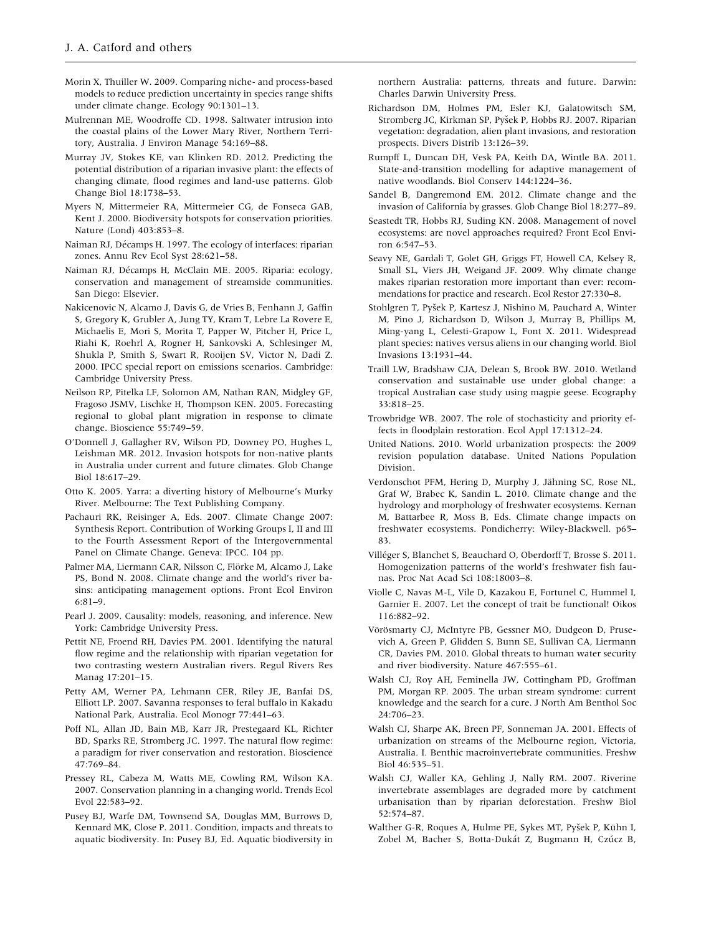- <span id="page-17-0"></span>Morin X, Thuiller W. 2009. Comparing niche- and process-based models to reduce prediction uncertainty in species range shifts under climate change. Ecology 90:1301–13.
- Mulrennan ME, Woodroffe CD. 1998. Saltwater intrusion into the coastal plains of the Lower Mary River, Northern Territory, Australia. J Environ Manage 54:169–88.
- Murray JV, Stokes KE, van Klinken RD. 2012. Predicting the potential distribution of a riparian invasive plant: the effects of changing climate, flood regimes and land-use patterns. Glob Change Biol 18:1738–53.
- Myers N, Mittermeier RA, Mittermeier CG, de Fonseca GAB, Kent J. 2000. Biodiversity hotspots for conservation priorities. Nature (Lond) 403:853–8.
- Naiman RJ, Décamps H. 1997. The ecology of interfaces: riparian zones. Annu Rev Ecol Syst 28:621–58.
- Naiman RJ, Décamps H, McClain ME. 2005. Riparia: ecology, conservation and management of streamside communities. San Diego: Elsevier.
- Nakicenovic N, Alcamo J, Davis G, de Vries B, Fenhann J, Gaffin S, Gregory K, Grubler A, Jung TY, Kram T, Lebre La Rovere E, Michaelis E, Mori S, Morita T, Papper W, Pitcher H, Price L, Riahi K, Roehrl A, Rogner H, Sankovski A, Schlesinger M, Shukla P, Smith S, Swart R, Rooijen SV, Victor N, Dadi Z. 2000. IPCC special report on emissions scenarios. Cambridge: Cambridge University Press.
- Neilson RP, Pitelka LF, Solomon AM, Nathan RAN, Midgley GF, Fragoso JSMV, Lischke H, Thompson KEN. 2005. Forecasting regional to global plant migration in response to climate change. Bioscience 55:749–59.
- O'Donnell J, Gallagher RV, Wilson PD, Downey PO, Hughes L, Leishman MR. 2012. Invasion hotspots for non-native plants in Australia under current and future climates. Glob Change Biol 18:617–29.
- Otto K. 2005. Yarra: a diverting history of Melbourne's Murky River. Melbourne: The Text Publishing Company.
- Pachauri RK, Reisinger A, Eds. 2007. Climate Change 2007: Synthesis Report. Contribution of Working Groups I, II and III to the Fourth Assessment Report of the Intergovernmental Panel on Climate Change. Geneva: IPCC. 104 pp.
- Palmer MA, Liermann CAR, Nilsson C, Flörke M, Alcamo J, Lake PS, Bond N. 2008. Climate change and the world's river basins: anticipating management options. Front Ecol Environ 6:81–9.
- Pearl J. 2009. Causality: models, reasoning, and inference. New York: Cambridge University Press.
- Pettit NE, Froend RH, Davies PM. 2001. Identifying the natural flow regime and the relationship with riparian vegetation for two contrasting western Australian rivers. Regul Rivers Res Manag 17:201–15.
- Petty AM, Werner PA, Lehmann CER, Riley JE, Banfai DS, Elliott LP. 2007. Savanna responses to feral buffalo in Kakadu National Park, Australia. Ecol Monogr 77:441–63.
- Poff NL, Allan JD, Bain MB, Karr JR, Prestegaard KL, Richter BD, Sparks RE, Stromberg JC. 1997. The natural flow regime: a paradigm for river conservation and restoration. Bioscience 47:769–84.
- Pressey RL, Cabeza M, Watts ME, Cowling RM, Wilson KA. 2007. Conservation planning in a changing world. Trends Ecol Evol 22:583–92.
- Pusey BJ, Warfe DM, Townsend SA, Douglas MM, Burrows D, Kennard MK, Close P. 2011. Condition, impacts and threats to aquatic biodiversity. In: Pusey BJ, Ed. Aquatic biodiversity in

northern Australia: patterns, threats and future. Darwin: Charles Darwin University Press.

- Richardson DM, Holmes PM, Esler KJ, Galatowitsch SM, Stromberg JC, Kirkman SP, Pyšek P, Hobbs RJ. 2007. Riparian vegetation: degradation, alien plant invasions, and restoration prospects. Divers Distrib 13:126–39.
- Rumpff L, Duncan DH, Vesk PA, Keith DA, Wintle BA. 2011. State-and-transition modelling for adaptive management of native woodlands. Biol Conserv 144:1224–36.
- Sandel B, Dangremond EM. 2012. Climate change and the invasion of California by grasses. Glob Change Biol 18:277–89.
- Seastedt TR, Hobbs RJ, Suding KN. 2008. Management of novel ecosystems: are novel approaches required? Front Ecol Environ 6:547–53.
- Seavy NE, Gardali T, Golet GH, Griggs FT, Howell CA, Kelsey R, Small SL, Viers JH, Weigand JF. 2009. Why climate change makes riparian restoration more important than ever: recommendations for practice and research. Ecol Restor 27:330–8.
- Stohlgren T, Pyšek P, Kartesz J, Nishino M, Pauchard A, Winter M, Pino J, Richardson D, Wilson J, Murray B, Phillips M, Ming-yang L, Celesti-Grapow L, Font X. 2011. Widespread plant species: natives versus aliens in our changing world. Biol Invasions 13:1931–44.
- Traill LW, Bradshaw CJA, Delean S, Brook BW. 2010. Wetland conservation and sustainable use under global change: a tropical Australian case study using magpie geese. Ecography 33:818–25.
- Trowbridge WB. 2007. The role of stochasticity and priority effects in floodplain restoration. Ecol Appl 17:1312–24.
- United Nations. 2010. World urbanization prospects: the 2009 revision population database. United Nations Population Division.
- Verdonschot PFM, Hering D, Murphy J, Jähning SC, Rose NL, Graf W, Brabec K, Sandin L. 2010. Climate change and the hydrology and morphology of freshwater ecosystems. Kernan M, Battarbee R, Moss B, Eds. Climate change impacts on freshwater ecosystems. Pondicherry: Wiley-Blackwell. p65– 83.
- Villéger S, Blanchet S, Beauchard O, Oberdorff T, Brosse S. 2011. Homogenization patterns of the world's freshwater fish faunas. Proc Nat Acad Sci 108:18003–8.
- Violle C, Navas M-L, Vile D, Kazakou E, Fortunel C, Hummel I, Garnier E. 2007. Let the concept of trait be functional! Oikos 116:882–92.
- Vörösmarty CJ, McIntyre PB, Gessner MO, Dudgeon D, Prusevich A, Green P, Glidden S, Bunn SE, Sullivan CA, Liermann CR, Davies PM. 2010. Global threats to human water security and river biodiversity. Nature 467:555–61.
- Walsh CJ, Roy AH, Feminella JW, Cottingham PD, Groffman PM, Morgan RP. 2005. The urban stream syndrome: current knowledge and the search for a cure. J North Am Benthol Soc 24:706–23.
- Walsh CJ, Sharpe AK, Breen PF, Sonneman JA. 2001. Effects of urbanization on streams of the Melbourne region, Victoria, Australia. I. Benthic macroinvertebrate communities. Freshw Biol 46:535–51.
- Walsh CJ, Waller KA, Gehling J, Nally RM. 2007. Riverine invertebrate assemblages are degraded more by catchment urbanisation than by riparian deforestation. Freshw Biol 52:574–87.
- Walther G-R, Roques A, Hulme PE, Sykes MT, Pyšek P, Kühn I, Zobel M, Bacher S, Botta-Dukát Z, Bugmann H, Czúcz B,